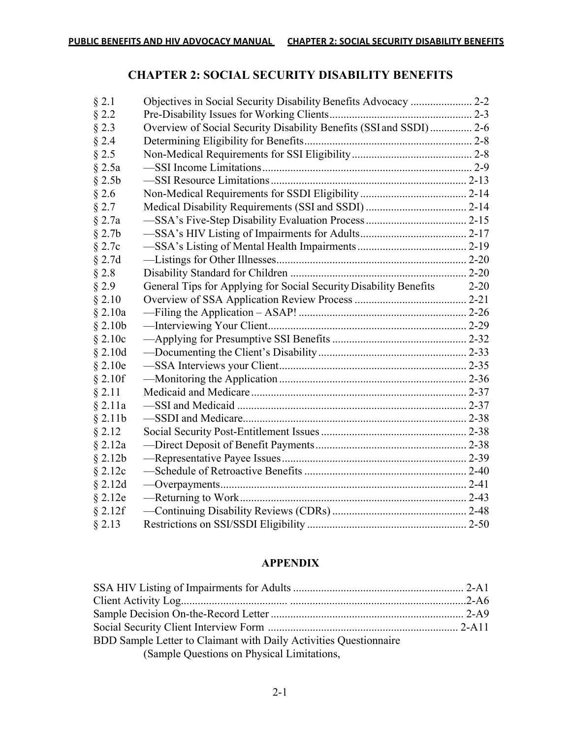## **CHAPTER 2: SOCIAL SECURITY DISABILITY BENEFITS**

| $§$ 2.1      |                                                                    |          |
|--------------|--------------------------------------------------------------------|----------|
| $§$ 2.2      |                                                                    |          |
| $§$ 2.3      | Overview of Social Security Disability Benefits (SSI and SSDI) 2-6 |          |
| $§$ 2.4      |                                                                    |          |
| $§$ 2.5      |                                                                    |          |
| $§$ 2.5a     |                                                                    |          |
| $§$ 2.5b     |                                                                    |          |
| $§$ 2.6      |                                                                    |          |
| $§$ 2.7      |                                                                    |          |
| $§$ 2.7a     |                                                                    |          |
| $§$ 2.7b     |                                                                    |          |
| $§$ 2.7 $c$  |                                                                    |          |
| $§$ 2.7d     |                                                                    |          |
| $§$ 2.8      |                                                                    |          |
| $§$ 2.9      | General Tips for Applying for Social Security Disability Benefits  | $2 - 20$ |
| § 2.10       |                                                                    |          |
| $§$ 2.10a    |                                                                    |          |
| $§$ 2.10b    |                                                                    |          |
| $§$ 2.10 $c$ |                                                                    |          |
| $§$ 2.10d    |                                                                    |          |
| $§$ 2.10e    |                                                                    |          |
| $§$ 2.10f    |                                                                    |          |
| § 2.11       |                                                                    |          |
| $§$ 2.11a    |                                                                    |          |
| $§$ 2.11b    |                                                                    |          |
| § 2.12       |                                                                    |          |
| $§$ 2.12a    |                                                                    |          |
| $§$ 2.12b    |                                                                    |          |
| $§$ 2.12 $c$ |                                                                    |          |
| $§$ 2.12d    |                                                                    |          |
| $§$ 2.12e    |                                                                    |          |
| $§$ 2.12f    |                                                                    |          |
| § 2.13       |                                                                    |          |

## **APPENDIX**

| BDD Sample Letter to Claimant with Daily Activities Questionnaire |  |
|-------------------------------------------------------------------|--|
| (Sample Questions on Physical Limitations,                        |  |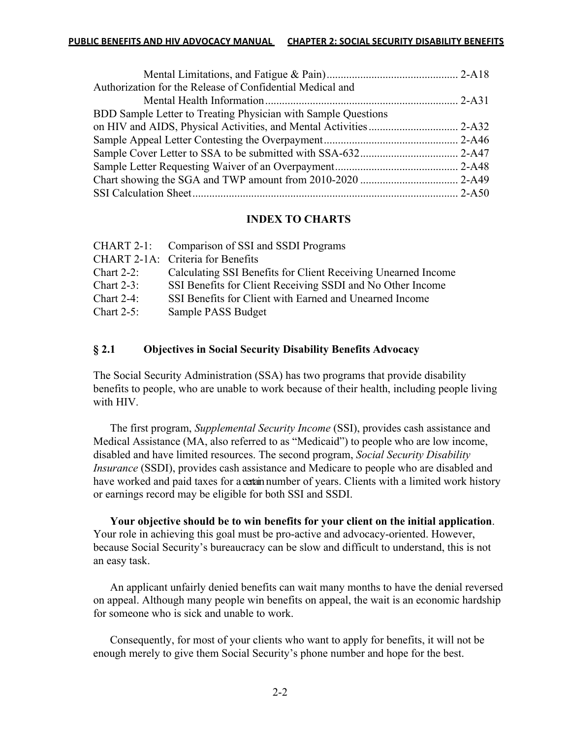| Authorization for the Release of Confidential Medical and     |  |
|---------------------------------------------------------------|--|
|                                                               |  |
| BDD Sample Letter to Treating Physician with Sample Questions |  |
|                                                               |  |
|                                                               |  |
|                                                               |  |
|                                                               |  |
|                                                               |  |
|                                                               |  |
|                                                               |  |

#### **INDEX TO CHARTS**

|               | CHART 2-1: Comparison of SSI and SSDI Programs                |
|---------------|---------------------------------------------------------------|
|               | CHART 2-1A: Criteria for Benefits                             |
| Chart $2-2$ : | Calculating SSI Benefits for Client Receiving Unearned Income |
| Chart $2-3$ : | SSI Benefits for Client Receiving SSDI and No Other Income    |
| Chart $2-4$ : | SSI Benefits for Client with Earned and Unearned Income       |
| Chart $2-5$ : | Sample PASS Budget                                            |

#### **§ 2.1 Objectives in Social Security Disability Benefits Advocacy**

The Social Security Administration (SSA) has two programs that provide disability benefits to people, who are unable to work because of their health, including people living with HIV.

The first program, *Supplemental Security Income* (SSI), provides cash assistance and Medical Assistance (MA, also referred to as "Medicaid") to people who are low income, disabled and have limited resources. The second program, *Social Security Disability Insurance* (SSDI), provides cash assistance and Medicare to people who are disabled and have worked and paid taxes for a certain number of years. Clients with a limited work history or earnings record may be eligible for both SSI and SSDI.

**Your objective should be to win benefits for your client on the initial application**. Your role in achieving this goal must be pro-active and advocacy-oriented. However, because Social Security's bureaucracy can be slow and difficult to understand, this is not an easy task.

An applicant unfairly denied benefits can wait many months to have the denial reversed on appeal. Although many people win benefits on appeal, the wait is an economic hardship for someone who is sick and unable to work.

Consequently, for most of your clients who want to apply for benefits, it will not be enough merely to give them Social Security's phone number and hope for the best.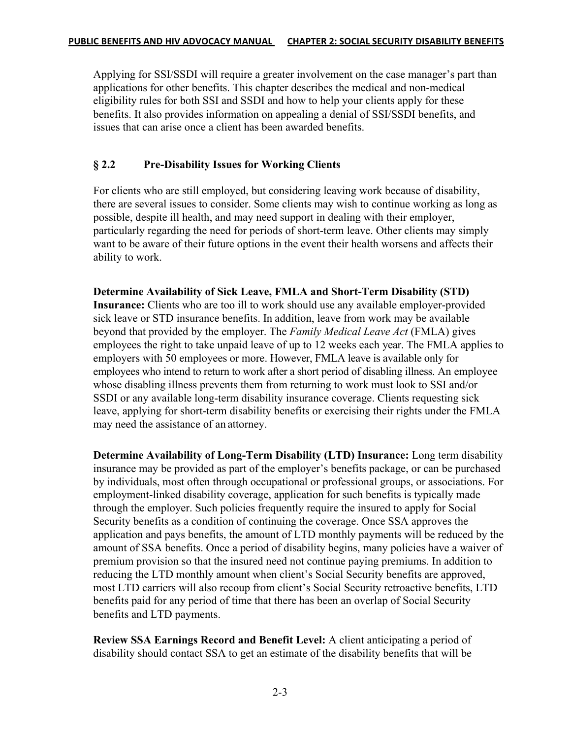Applying for SSI/SSDI will require a greater involvement on the case manager's part than applications for other benefits. This chapter describes the medical and non-medical eligibility rules for both SSI and SSDI and how to help your clients apply for these benefits. It also provides information on appealing a denial of SSI/SSDI benefits, and issues that can arise once a client has been awarded benefits.

## **§ 2.2 Pre-Disability Issues for Working Clients**

For clients who are still employed, but considering leaving work because of disability, there are several issues to consider. Some clients may wish to continue working as long as possible, despite ill health, and may need support in dealing with their employer, particularly regarding the need for periods of short-term leave. Other clients may simply want to be aware of their future options in the event their health worsens and affects their ability to work.

**Determine Availability of Sick Leave, FMLA and Short-Term Disability (STD) Insurance:** Clients who are too ill to work should use any available employer-provided sick leave or STD insurance benefits. In addition, leave from work may be available beyond that provided by the employer. The *Family Medical Leave Act* (FMLA) gives employees the right to take unpaid leave of up to 12 weeks each year. The FMLA applies to employers with 50 employees or more. However, FMLA leave is available only for employees who intend to return to work after a short period of disabling illness. An employee whose disabling illness prevents them from returning to work must look to SSI and/or SSDI or any available long-term disability insurance coverage. Clients requesting sick leave, applying for short-term disability benefits or exercising their rights under the FMLA may need the assistance of an attorney.

**Determine Availability of Long-Term Disability (LTD) Insurance:** Long term disability insurance may be provided as part of the employer's benefits package, or can be purchased by individuals, most often through occupational or professional groups, or associations. For employment-linked disability coverage, application for such benefits is typically made through the employer. Such policies frequently require the insured to apply for Social Security benefits as a condition of continuing the coverage. Once SSA approves the application and pays benefits, the amount of LTD monthly payments will be reduced by the amount of SSA benefits. Once a period of disability begins, many policies have a waiver of premium provision so that the insured need not continue paying premiums. In addition to reducing the LTD monthly amount when client's Social Security benefits are approved, most LTD carriers will also recoup from client's Social Security retroactive benefits, LTD benefits paid for any period of time that there has been an overlap of Social Security benefits and LTD payments.

**Review SSA Earnings Record and Benefit Level:** A client anticipating a period of disability should contact SSA to get an estimate of the disability benefits that will be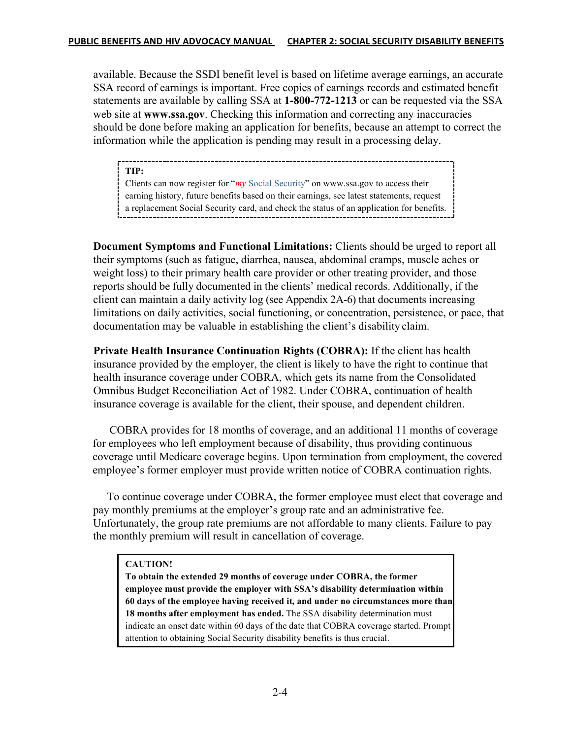available. Because the SSDI benefit level is based on lifetime average earnings, an accurate SSA record of earnings is important. Free copies of earnings records and estimated benefit statements are available by calling SSA at **1-800-772-1213** or can be requested via the SSA web site at **www.ssa.gov**. Checking this information and correcting any inaccuracies should be done before making an application for benefits, because an attempt to correct the information while the application is pending may result in a processing delay.

**TIP:**

Clients can now register for "*my* Social Security" on www.ssa.gov to access their earning history, future benefits based on their earnings, see latest statements, request a replacement Social Security card, and check the status of an application for benefits.

**Document Symptoms and Functional Limitations:** Clients should be urged to report all their symptoms (such as fatigue, diarrhea, nausea, abdominal cramps, muscle aches or weight loss) to their primary health care provider or other treating provider, and those reports should be fully documented in the clients' medical records. Additionally, if the client can maintain a daily activity log (see Appendix 2A-6) that documents increasing limitations on daily activities, social functioning, or concentration, persistence, or pace, that documentation may be valuable in establishing the client's disability claim.

**Private Health Insurance Continuation Rights (COBRA):** If the client has health insurance provided by the employer, the client is likely to have the right to continue that health insurance coverage under COBRA, which gets its name from the Consolidated Omnibus Budget Reconciliation Act of 1982. Under COBRA, continuation of health insurance coverage is available for the client, their spouse, and dependent children.

 COBRA provides for 18 months of coverage, and an additional 11 months of coverage for employees who left employment because of disability, thus providing continuous coverage until Medicare coverage begins. Upon termination from employment, the covered employee's former employer must provide written notice of COBRA continuation rights.

 To continue coverage under COBRA, the former employee must elect that coverage and pay monthly premiums at the employer's group rate and an administrative fee. Unfortunately, the group rate premiums are not affordable to many clients. Failure to pay the monthly premium will result in cancellation of coverage.

### **CAUTION!**

**To obtain the extended 29 months of coverage under COBRA, the former employee must provide the employer with SSA's disability determination within 60 days of the employee having received it, and under no circumstances more than 18 months after employment has ended.** The SSA disability determination must indicate an onset date within 60 days of the date that COBRA coverage started. Prompt attention to obtaining Social Security disability benefits is thus crucial.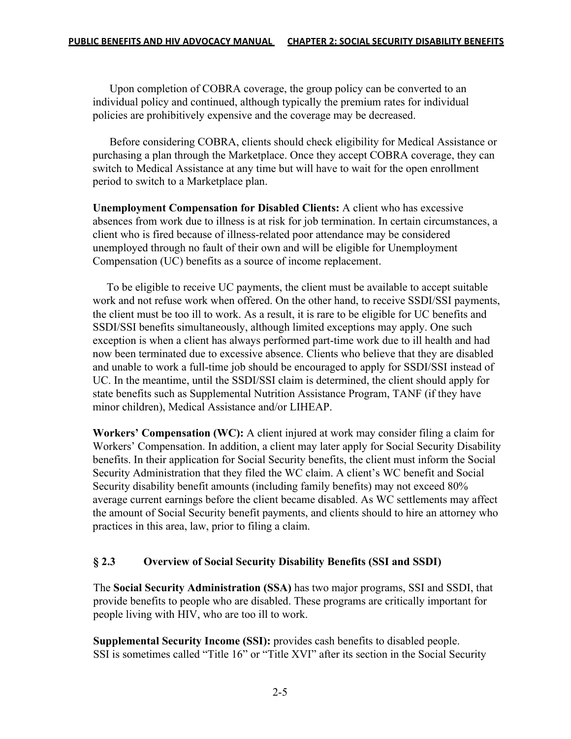Upon completion of COBRA coverage, the group policy can be converted to an individual policy and continued, although typically the premium rates for individual policies are prohibitively expensive and the coverage may be decreased.

 Before considering COBRA, clients should check eligibility for Medical Assistance or purchasing a plan through the Marketplace. Once they accept COBRA coverage, they can switch to Medical Assistance at any time but will have to wait for the open enrollment period to switch to a Marketplace plan.

**Unemployment Compensation for Disabled Clients:** A client who has excessive absences from work due to illness is at risk for job termination. In certain circumstances, a client who is fired because of illness-related poor attendance may be considered unemployed through no fault of their own and will be eligible for Unemployment Compensation (UC) benefits as a source of income replacement.

 To be eligible to receive UC payments, the client must be available to accept suitable work and not refuse work when offered. On the other hand, to receive SSDI/SSI payments, the client must be too ill to work. As a result, it is rare to be eligible for UC benefits and SSDI/SSI benefits simultaneously, although limited exceptions may apply. One such exception is when a client has always performed part-time work due to ill health and had now been terminated due to excessive absence. Clients who believe that they are disabled and unable to work a full-time job should be encouraged to apply for SSDI/SSI instead of UC. In the meantime, until the SSDI/SSI claim is determined, the client should apply for state benefits such as Supplemental Nutrition Assistance Program, TANF (if they have minor children), Medical Assistance and/or LIHEAP.

**Workers' Compensation (WC):** A client injured at work may consider filing a claim for Workers' Compensation. In addition, a client may later apply for Social Security Disability benefits. In their application for Social Security benefits, the client must inform the Social Security Administration that they filed the WC claim. A client's WC benefit and Social Security disability benefit amounts (including family benefits) may not exceed 80% average current earnings before the client became disabled. As WC settlements may affect the amount of Social Security benefit payments, and clients should to hire an attorney who practices in this area, law, prior to filing a claim.

## **§ 2.3 Overview of Social Security Disability Benefits (SSI and SSDI)**

The **Social Security Administration (SSA)** has two major programs, SSI and SSDI, that provide benefits to people who are disabled. These programs are critically important for people living with HIV, who are too ill to work.

**Supplemental Security Income (SSI):** provides cash benefits to disabled people. SSI is sometimes called "Title 16" or "Title XVI" after its section in the Social Security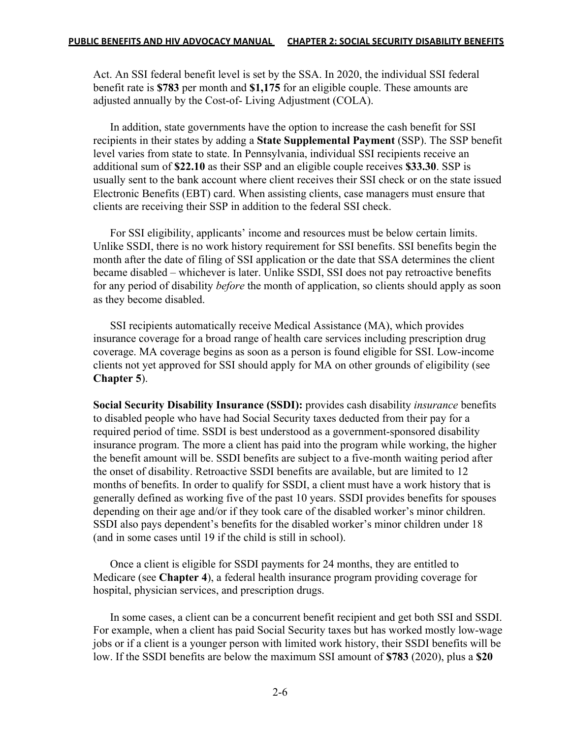Act. An SSI federal benefit level is set by the SSA. In 2020, the individual SSI federal benefit rate is **\$783** per month and **\$1,175** for an eligible couple. These amounts are adjusted annually by the Cost-of- Living Adjustment (COLA).

In addition, state governments have the option to increase the cash benefit for SSI recipients in their states by adding a **State Supplemental Payment** (SSP). The SSP benefit level varies from state to state. In Pennsylvania, individual SSI recipients receive an additional sum of **\$22.10** as their SSP and an eligible couple receives **\$33.30**. SSP is usually sent to the bank account where client receives their SSI check or on the state issued Electronic Benefits (EBT) card. When assisting clients, case managers must ensure that clients are receiving their SSP in addition to the federal SSI check.

For SSI eligibility, applicants' income and resources must be below certain limits. Unlike SSDI, there is no work history requirement for SSI benefits. SSI benefits begin the month after the date of filing of SSI application or the date that SSA determines the client became disabled – whichever is later. Unlike SSDI, SSI does not pay retroactive benefits for any period of disability *before* the month of application, so clients should apply as soon as they become disabled.

SSI recipients automatically receive Medical Assistance (MA), which provides insurance coverage for a broad range of health care services including prescription drug coverage. MA coverage begins as soon as a person is found eligible for SSI. Low-income clients not yet approved for SSI should apply for MA on other grounds of eligibility (see **Chapter 5**).

**Social Security Disability Insurance (SSDI):** provides cash disability *insurance* benefits to disabled people who have had Social Security taxes deducted from their pay for a required period of time. SSDI is best understood as a government-sponsored disability insurance program. The more a client has paid into the program while working, the higher the benefit amount will be. SSDI benefits are subject to a five-month waiting period after the onset of disability. Retroactive SSDI benefits are available, but are limited to 12 months of benefits. In order to qualify for SSDI, a client must have a work history that is generally defined as working five of the past 10 years. SSDI provides benefits for spouses depending on their age and/or if they took care of the disabled worker's minor children. SSDI also pays dependent's benefits for the disabled worker's minor children under 18 (and in some cases until 19 if the child is still in school).

Once a client is eligible for SSDI payments for 24 months, they are entitled to Medicare (see **Chapter 4**), a federal health insurance program providing coverage for hospital, physician services, and prescription drugs.

In some cases, a client can be a concurrent benefit recipient and get both SSI and SSDI. For example, when a client has paid Social Security taxes but has worked mostly low-wage jobs or if a client is a younger person with limited work history, their SSDI benefits will be low. If the SSDI benefits are below the maximum SSI amount of **\$783** (2020), plus a **\$20**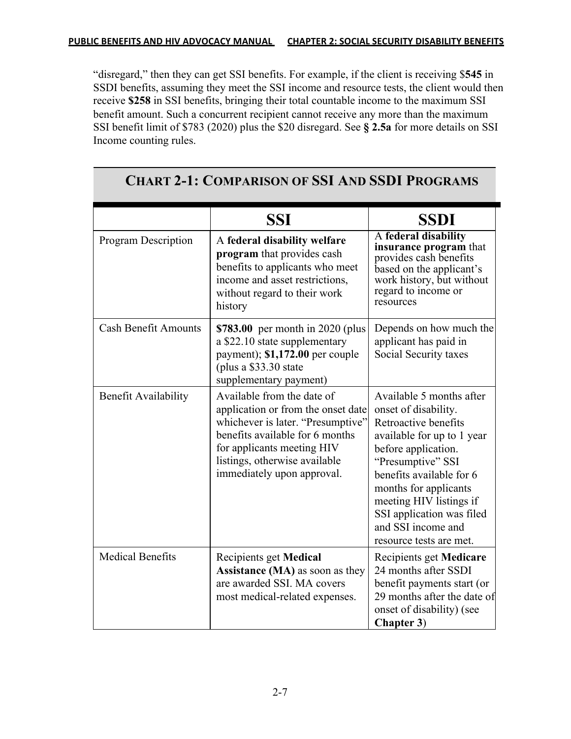"disregard," then they can get SSI benefits. For example, if the client is receiving \$**545** in SSDI benefits, assuming they meet the SSI income and resource tests, the client would then receive **\$258** in SSI benefits, bringing their total countable income to the maximum SSI benefit amount. Such a concurrent recipient cannot receive any more than the maximum SSI benefit limit of \$783 (2020) plus the \$20 disregard. See **§ 2.5a** for more details on SSI Income counting rules.

|                             | <b>SSI</b>                                                                                                                                                                                                                            | <b>SSDI</b>                                                                                                                                                                                                                                                                                                      |
|-----------------------------|---------------------------------------------------------------------------------------------------------------------------------------------------------------------------------------------------------------------------------------|------------------------------------------------------------------------------------------------------------------------------------------------------------------------------------------------------------------------------------------------------------------------------------------------------------------|
| <b>Program Description</b>  | A federal disability welfare<br>program that provides cash<br>benefits to applicants who meet<br>income and asset restrictions,<br>without regard to their work<br>history                                                            | A federal disability<br><b>insurance program</b> that<br>provides cash benefits<br>based on the applicant's<br>work history, but without<br>regard to income or<br>resources                                                                                                                                     |
| <b>Cash Benefit Amounts</b> | <b>\$783.00</b> per month in 2020 (plus<br>a \$22.10 state supplementary<br>payment); \$1,172.00 per couple<br>(plus a $$33.30$ state<br>supplementary payment)                                                                       | Depends on how much the<br>applicant has paid in<br>Social Security taxes                                                                                                                                                                                                                                        |
| <b>Benefit Availability</b> | Available from the date of<br>application or from the onset date<br>whichever is later. "Presumptive"<br>benefits available for 6 months<br>for applicants meeting HIV<br>listings, otherwise available<br>immediately upon approval. | Available 5 months after<br>onset of disability.<br>Retroactive benefits<br>available for up to 1 year<br>before application.<br>"Presumptive" SSI<br>benefits available for 6<br>months for applicants<br>meeting HIV listings if<br>SSI application was filed<br>and SSI income and<br>resource tests are met. |
| <b>Medical Benefits</b>     | Recipients get Medical<br><b>Assistance (MA)</b> as soon as they<br>are awarded SSI. MA covers<br>most medical-related expenses.                                                                                                      | Recipients get <b>Medicare</b><br>24 months after SSDI<br>benefit payments start (or<br>29 months after the date of<br>onset of disability) (see<br><b>Chapter 3)</b>                                                                                                                                            |

# **CHART 2-1: COMPARISON OF SSI AND SSDI PROGRAMS**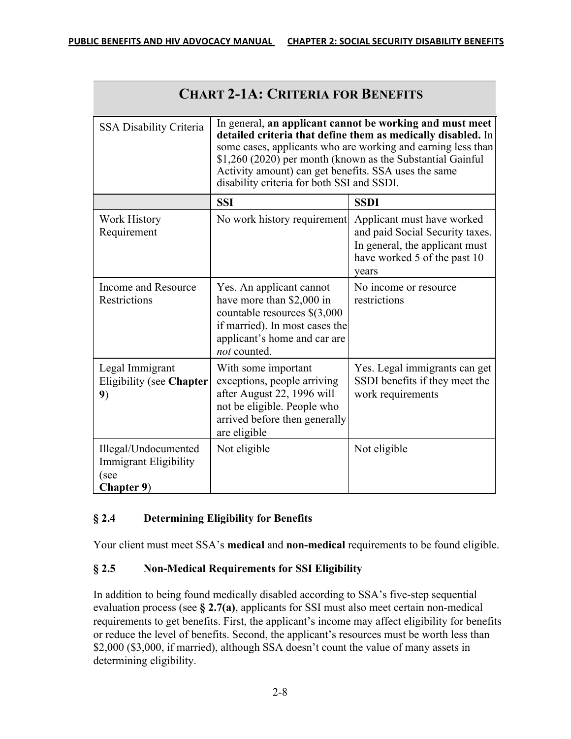| <b>CHART 2-1A: CRITERIA FOR BENEFITS</b>                                          |                                                                                                                                                                                                                                                                                                                                                              |                                                                                                                                          |
|-----------------------------------------------------------------------------------|--------------------------------------------------------------------------------------------------------------------------------------------------------------------------------------------------------------------------------------------------------------------------------------------------------------------------------------------------------------|------------------------------------------------------------------------------------------------------------------------------------------|
| <b>SSA Disability Criteria</b>                                                    | In general, an applicant cannot be working and must meet<br>detailed criteria that define them as medically disabled. In<br>some cases, applicants who are working and earning less than<br>\$1,260 (2020) per month (known as the Substantial Gainful<br>Activity amount) can get benefits. SSA uses the same<br>disability criteria for both SSI and SSDI. |                                                                                                                                          |
|                                                                                   | <b>SSI</b>                                                                                                                                                                                                                                                                                                                                                   | <b>SSDI</b>                                                                                                                              |
| <b>Work History</b><br>Requirement                                                | No work history requirement                                                                                                                                                                                                                                                                                                                                  | Applicant must have worked<br>and paid Social Security taxes.<br>In general, the applicant must<br>have worked 5 of the past 10<br>years |
| Income and Resource<br>Restrictions                                               | Yes. An applicant cannot<br>have more than \$2,000 in<br>countable resources $\S(3,000)$<br>if married). In most cases the<br>applicant's home and car are<br>not counted.                                                                                                                                                                                   | No income or resource<br>restrictions                                                                                                    |
| Legal Immigrant<br>Eligibility (see Chapter<br>9)                                 | With some important<br>exceptions, people arriving<br>after August 22, 1996 will<br>not be eligible. People who<br>arrived before then generally<br>are eligible                                                                                                                                                                                             | Yes. Legal immigrants can get<br>SSDI benefits if they meet the<br>work requirements                                                     |
| Illegal/Undocumented<br><b>Immigrant Eligibility</b><br>(see<br><b>Chapter 9)</b> | Not eligible                                                                                                                                                                                                                                                                                                                                                 | Not eligible                                                                                                                             |

## **§ 2.4 Determining Eligibility for Benefits**

Your client must meet SSA's **medical** and **non-medical** requirements to be found eligible.

## **§ 2.5 Non-Medical Requirements for SSI Eligibility**

In addition to being found medically disabled according to SSA's five-step sequential evaluation process (see **§ 2.7(a)**, applicants for SSI must also meet certain non-medical requirements to get benefits. First, the applicant's income may affect eligibility for benefits or reduce the level of benefits. Second, the applicant's resources must be worth less than \$2,000 (\$3,000, if married), although SSA doesn't count the value of many assets in determining eligibility.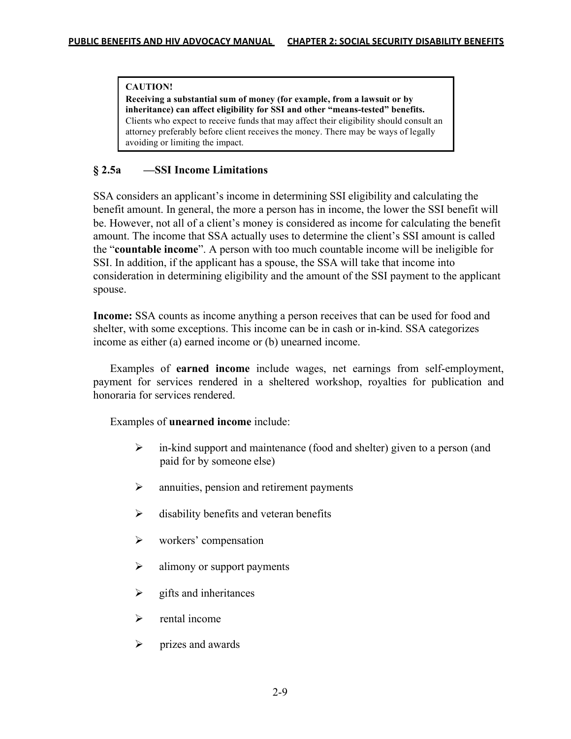#### **CAUTION!**

**Receiving a substantial sum of money (for example, from a lawsuit or by inheritance) can affect eligibility for SSI and other "means-tested" benefits.**  Clients who expect to receive funds that may affect their eligibility should consult an attorney preferably before client receives the money. There may be ways of legally avoiding or limiting the impact.

### **§ 2.5a —SSI Income Limitations**

SSA considers an applicant's income in determining SSI eligibility and calculating the benefit amount. In general, the more a person has in income, the lower the SSI benefit will be. However, not all of a client's money is considered as income for calculating the benefit amount. The income that SSA actually uses to determine the client's SSI amount is called the "**countable income**". A person with too much countable income will be ineligible for SSI. In addition, if the applicant has a spouse, the SSA will take that income into consideration in determining eligibility and the amount of the SSI payment to the applicant spouse.

**Income:** SSA counts as income anything a person receives that can be used for food and shelter, with some exceptions. This income can be in cash or in-kind. SSA categorizes income as either (a) earned income or (b) unearned income.

Examples of **earned income** include wages, net earnings from self-employment, payment for services rendered in a sheltered workshop, royalties for publication and honoraria for services rendered.

Examples of **unearned income** include:

- $\triangleright$  in-kind support and maintenance (food and shelter) given to a person (and paid for by someone else)
- $\triangleright$  annuities, pension and retirement payments
- $\triangleright$  disability benefits and veteran benefits
- $\triangleright$  workers' compensation
- $\triangleright$  alimony or support payments
- $\triangleright$  gifts and inheritances
- $\triangleright$  rental income
- $\triangleright$  prizes and awards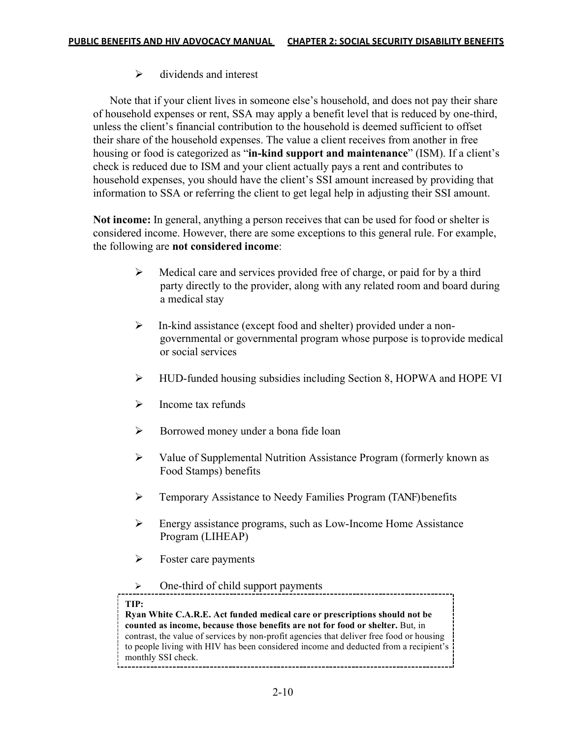$\triangleright$  dividends and interest

 Note that if your client lives in someone else's household, and does not pay their share of household expenses or rent, SSA may apply a benefit level that is reduced by one-third, unless the client's financial contribution to the household is deemed sufficient to offset their share of the household expenses. The value a client receives from another in free housing or food is categorized as "**in-kind support and maintenance**" (ISM). If a client's check is reduced due to ISM and your client actually pays a rent and contributes to household expenses, you should have the client's SSI amount increased by providing that information to SSA or referring the client to get legal help in adjusting their SSI amount.

**Not income:** In general, anything a person receives that can be used for food or shelter is considered income. However, there are some exceptions to this general rule. For example, the following are **not considered income**:

- $\triangleright$  Medical care and services provided free of charge, or paid for by a third party directly to the provider, along with any related room and board during a medical stay
- Ø In-kind assistance (except food and shelter) provided under a nongovernmental or governmental program whose purpose is toprovide medical or social services
- Ø HUD-funded housing subsidies including Section 8, HOPWA and HOPE VI
- $\triangleright$  Income tax refunds
- Ø Borrowed money under a bona fide loan
- $\triangleright$  Value of Supplemental Nutrition Assistance Program (formerly known as Food Stamps) benefits
- Ø Temporary Assistance to Needy Families Program (TANF) benefits
- Ø Energy assistance programs, such as Low-Income Home Assistance Program (LIHEAP)
- $\triangleright$  Foster care payments
- $\triangleright$  One-third of child support payments

#### **TIP:**

**Ryan White C.A.R.E. Act funded medical care or prescriptions should not be counted as income, because those benefits are not for food or shelter.** But, in contrast, the value of services by non-profit agencies that deliver free food or housing to people living with HIV has been considered income and deducted from a recipient's monthly SSI check.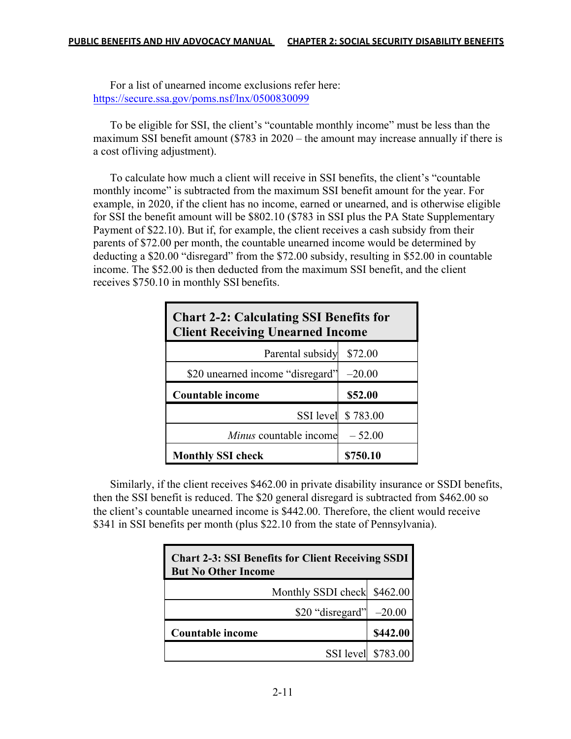For a list of unearned income exclusions refer here: https://secure.ssa.gov/poms.nsf/lnx/0500830099

To be eligible for SSI, the client's "countable monthly income" must be less than the maximum SSI benefit amount (\$783 in 2020 – the amount may increase annually if there is a cost ofliving adjustment).

To calculate how much a client will receive in SSI benefits, the client's "countable monthly income" is subtracted from the maximum SSI benefit amount for the year. For example, in 2020, if the client has no income, earned or unearned, and is otherwise eligible for SSI the benefit amount will be \$802.10 (\$783 in SSI plus the PA State Supplementary Payment of \$22.10). But if, for example, the client receives a cash subsidy from their parents of \$72.00 per month, the countable unearned income would be determined by deducting a \$20.00 "disregard" from the \$72.00 subsidy, resulting in \$52.00 in countable income. The \$52.00 is then deducted from the maximum SSI benefit, and the client receives \$750.10 in monthly SSI benefits.

| <b>Chart 2-2: Calculating SSI Benefits for</b><br><b>Client Receiving Unearned Income</b> |                    |  |
|-------------------------------------------------------------------------------------------|--------------------|--|
| Parental subsidy                                                                          | \$72.00            |  |
| \$20 unearned income "disregard"                                                          | $-20.00$           |  |
| <b>Countable income</b>                                                                   | \$52.00            |  |
|                                                                                           |                    |  |
|                                                                                           | SSI level \$783.00 |  |
| Minus countable income                                                                    | $-52.00$           |  |

Similarly, if the client receives \$462.00 in private disability insurance or SSDI benefits, then the SSI benefit is reduced. The \$20 general disregard is subtracted from \$462.00 so the client's countable unearned income is \$442.00. Therefore, the client would receive \$341 in SSI benefits per month (plus \$22.10 from the state of Pennsylvania).

| <b>Chart 2-3: SSI Benefits for Client Receiving SSDI</b><br><b>But No Other Income</b> |                    |  |
|----------------------------------------------------------------------------------------|--------------------|--|
| Monthly SSDI check \$462.00                                                            |                    |  |
| \$20 "disregard"                                                                       | $-20.00$           |  |
| <b>Countable income</b>                                                                | \$442.00           |  |
|                                                                                        | SSI level \$783.00 |  |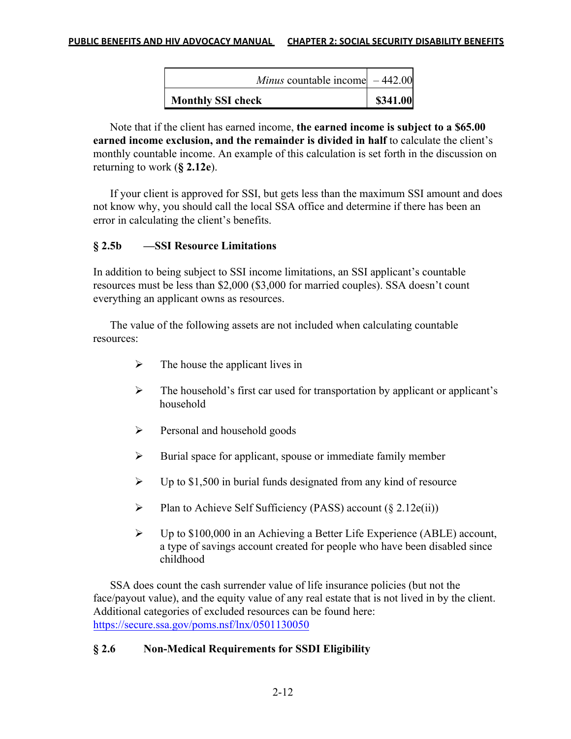| <b>Monthly SSI check</b>                | \$341.00 |
|-----------------------------------------|----------|
| <i>Minus</i> countable income $-442.00$ |          |

Note that if the client has earned income, **the earned income is subject to a \$65.00 earned income exclusion, and the remainder is divided in half** to calculate the client's monthly countable income. An example of this calculation is set forth in the discussion on returning to work (**§ 2.12e**).

If your client is approved for SSI, but gets less than the maximum SSI amount and does not know why, you should call the local SSA office and determine if there has been an error in calculating the client's benefits.

### **§ 2.5b —SSI Resource Limitations**

In addition to being subject to SSI income limitations, an SSI applicant's countable resources must be less than \$2,000 (\$3,000 for married couples). SSA doesn't count everything an applicant owns as resources.

The value of the following assets are not included when calculating countable resources:

- $\triangleright$  The house the applicant lives in
- $\triangleright$  The household's first car used for transportation by applicant or applicant's household
- $\triangleright$  Personal and household goods
- $\triangleright$  Burial space for applicant, spouse or immediate family member
- $\triangleright$  Up to \$1,500 in burial funds designated from any kind of resource
- Plan to Achieve Self Sufficiency (PASS) account  $(\S 2.12e(ii))$
- $\triangleright$  Up to \$100,000 in an Achieving a Better Life Experience (ABLE) account, a type of savings account created for people who have been disabled since childhood

SSA does count the cash surrender value of life insurance policies (but not the face/payout value), and the equity value of any real estate that is not lived in by the client. Additional categories of excluded resources can be found here: https://secure.ssa.gov/poms.nsf/lnx/0501130050

## **§ 2.6 Non-Medical Requirements for SSDI Eligibility**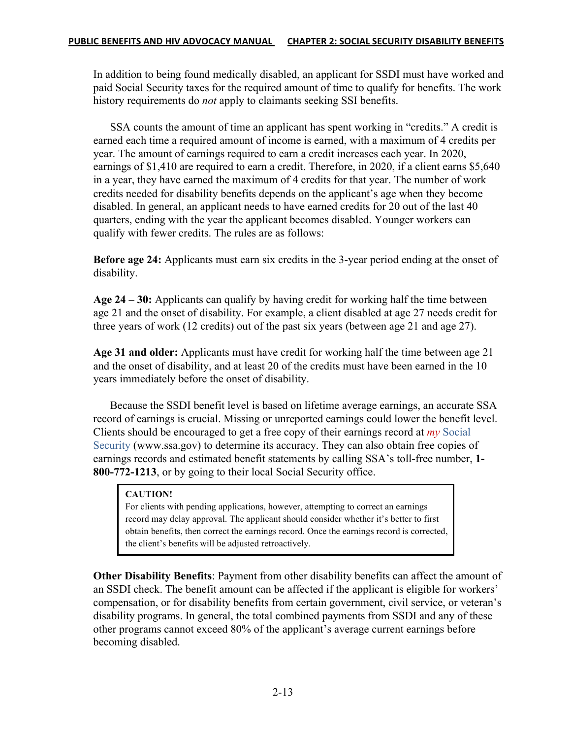In addition to being found medically disabled, an applicant for SSDI must have worked and paid Social Security taxes for the required amount of time to qualify for benefits. The work history requirements do *not* apply to claimants seeking SSI benefits.

SSA counts the amount of time an applicant has spent working in "credits." A credit is earned each time a required amount of income is earned, with a maximum of 4 credits per year. The amount of earnings required to earn a credit increases each year. In 2020, earnings of \$1,410 are required to earn a credit. Therefore, in 2020, if a client earns \$5,640 in a year, they have earned the maximum of 4 credits for that year. The number of work credits needed for disability benefits depends on the applicant's age when they become disabled. In general, an applicant needs to have earned credits for 20 out of the last 40 quarters, ending with the year the applicant becomes disabled. Younger workers can qualify with fewer credits. The rules are as follows:

**Before age 24:** Applicants must earn six credits in the 3-year period ending at the onset of disability.

**Age 24 – 30:** Applicants can qualify by having credit for working half the time between age 21 and the onset of disability. For example, a client disabled at age 27 needs credit for three years of work (12 credits) out of the past six years (between age 21 and age 27).

**Age 31 and older:** Applicants must have credit for working half the time between age 21 and the onset of disability, and at least 20 of the credits must have been earned in the 10 years immediately before the onset of disability.

Because the SSDI benefit level is based on lifetime average earnings, an accurate SSA record of earnings is crucial. Missing or unreported earnings could lower the benefit level. Clients should be encouraged to get a free copy of their earnings record at *my* Social Security (www.ssa.gov) to determine its accuracy. They can also obtain free copies of earnings records and estimated benefit statements by calling SSA's toll-free number, **1- 800-772-1213**, or by going to their local Social Security office.

### **CAUTION!**

For clients with pending applications, however, attempting to correct an earnings record may delay approval. The applicant should consider whether it's better to first obtain benefits, then correct the earnings record. Once the earnings record is corrected, the client's benefits will be adjusted retroactively.

**Other Disability Benefits**: Payment from other disability benefits can affect the amount of an SSDI check. The benefit amount can be affected if the applicant is eligible for workers' compensation, or for disability benefits from certain government, civil service, or veteran's disability programs. In general, the total combined payments from SSDI and any of these other programs cannot exceed 80% of the applicant's average current earnings before becoming disabled.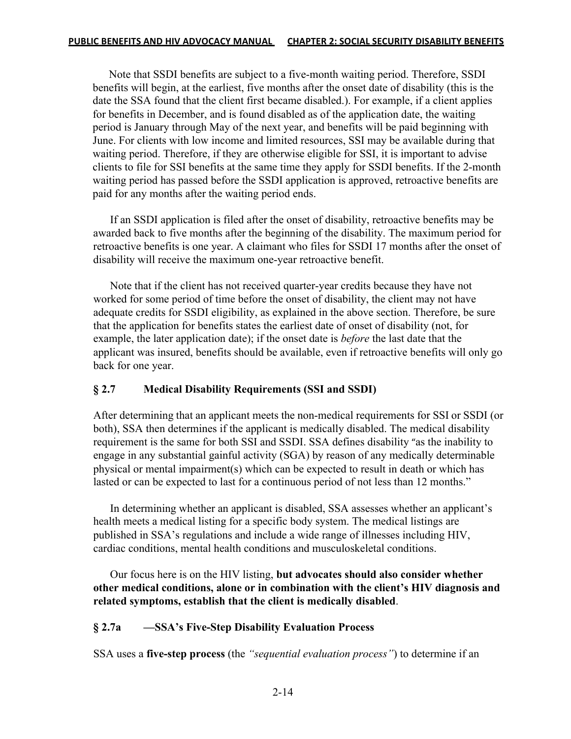Note that SSDI benefits are subject to a five-month waiting period. Therefore, SSDI benefits will begin, at the earliest, five months after the onset date of disability (this is the date the SSA found that the client first became disabled.). For example, if a client applies for benefits in December, and is found disabled as of the application date, the waiting period is January through May of the next year, and benefits will be paid beginning with June. For clients with low income and limited resources, SSI may be available during that waiting period. Therefore, if they are otherwise eligible for SSI, it is important to advise clients to file for SSI benefits at the same time they apply for SSDI benefits. If the 2-month waiting period has passed before the SSDI application is approved, retroactive benefits are paid for any months after the waiting period ends.

 If an SSDI application is filed after the onset of disability, retroactive benefits may be awarded back to five months after the beginning of the disability. The maximum period for retroactive benefits is one year. A claimant who files for SSDI 17 months after the onset of disability will receive the maximum one-year retroactive benefit.

 Note that if the client has not received quarter-year credits because they have not worked for some period of time before the onset of disability, the client may not have adequate credits for SSDI eligibility, as explained in the above section. Therefore, be sure that the application for benefits states the earliest date of onset of disability (not, for example, the later application date); if the onset date is *before* the last date that the applicant was insured, benefits should be available, even if retroactive benefits will only go back for one year.

### **§ 2.7 Medical Disability Requirements (SSI and SSDI)**

After determining that an applicant meets the non-medical requirements for SSI or SSDI (or both), SSA then determines if the applicant is medically disabled. The medical disability requirement is the same for both SSI and SSDI. SSA defines disability "as the inability to engage in any substantial gainful activity (SGA) by reason of any medically determinable physical or mental impairment(s) which can be expected to result in death or which has lasted or can be expected to last for a continuous period of not less than 12 months."

In determining whether an applicant is disabled, SSA assesses whether an applicant's health meets a medical listing for a specific body system. The medical listings are published in SSA's regulations and include a wide range of illnesses including HIV, cardiac conditions, mental health conditions and musculoskeletal conditions.

Our focus here is on the HIV listing, **but advocates should also consider whether other medical conditions, alone or in combination with the client's HIV diagnosis and related symptoms, establish that the client is medically disabled**.

### **§ 2.7a —SSA's Five-Step Disability Evaluation Process**

SSA uses a **five-step process** (the *"sequential evaluation process"*) to determine if an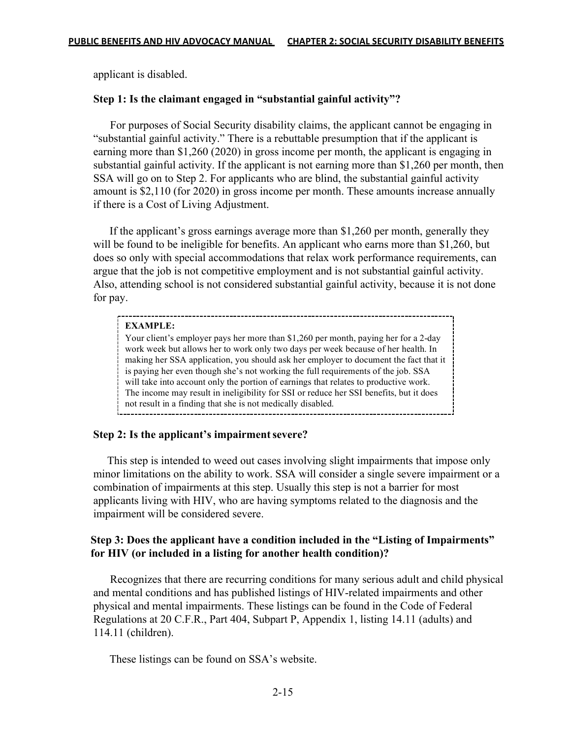applicant is disabled.

#### **Step 1: Is the claimant engaged in "substantial gainful activity"?**

 For purposes of Social Security disability claims, the applicant cannot be engaging in "substantial gainful activity." There is a rebuttable presumption that if the applicant is earning more than \$1,260 (2020) in gross income per month, the applicant is engaging in substantial gainful activity. If the applicant is not earning more than \$1,260 per month, then SSA will go on to Step 2. For applicants who are blind, the substantial gainful activity amount is \$2,110 (for 2020) in gross income per month. These amounts increase annually if there is a Cost of Living Adjustment.

 If the applicant's gross earnings average more than \$1,260 per month, generally they will be found to be ineligible for benefits. An applicant who earns more than \$1,260, but does so only with special accommodations that relax work performance requirements, can argue that the job is not competitive employment and is not substantial gainful activity. Also, attending school is not considered substantial gainful activity, because it is not done for pay.

| <b>EXAMPLE:</b>                                                                                                                                                                                                                                                                                                                                       |
|-------------------------------------------------------------------------------------------------------------------------------------------------------------------------------------------------------------------------------------------------------------------------------------------------------------------------------------------------------|
| Your client's employer pays her more than \$1,260 per month, paying her for a 2-day<br>work week but allows her to work only two days per week because of her health. In<br>making her SSA application, you should ask her employer to document the fact that it<br>is paying her even though she's not working the full requirements of the job. SSA |
| will take into account only the portion of earnings that relates to productive work.<br>The income may result in ineligibility for SSI or reduce her SSI benefits, but it does<br>not result in a finding that she is not medically disabled.                                                                                                         |

### Step 2: Is the applicant's impairment severe?

 This step is intended to weed out cases involving slight impairments that impose only minor limitations on the ability to work. SSA will consider a single severe impairment or a combination of impairments at this step. Usually this step is not a barrier for most applicants living with HIV, who are having symptoms related to the diagnosis and the impairment will be considered severe.

### **Step 3: Does the applicant have a condition included in the "Listing of Impairments" for HIV (or included in a listing for another health condition)?**

 Recognizes that there are recurring conditions for many serious adult and child physical and mental conditions and has published listings of HIV-related impairments and other physical and mental impairments. These listings can be found in the Code of Federal Regulations at 20 C.F.R., Part 404, Subpart P, Appendix 1, listing 14.11 (adults) and 114.11 (children).

These listings can be found on SSA's website.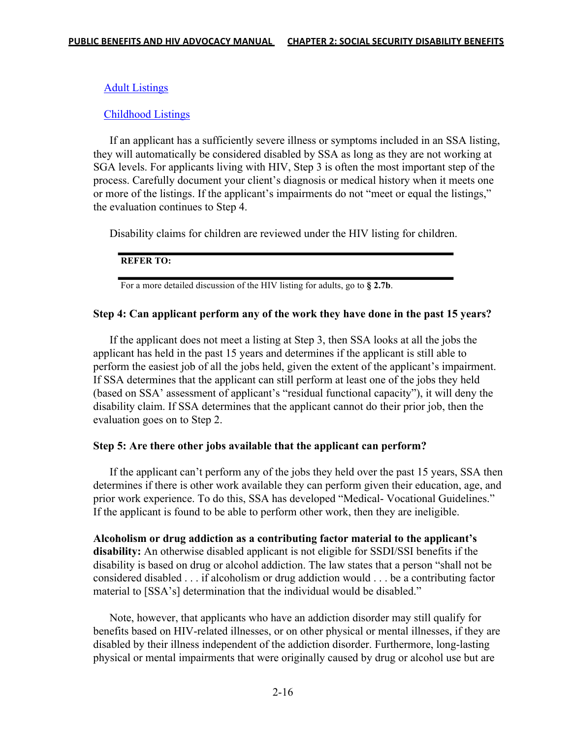### Adult Listings

### Childhood Listings

 If an applicant has a sufficiently severe illness or symptoms included in an SSA listing, they will automatically be considered disabled by SSA as long as they are not working at SGA levels. For applicants living with HIV, Step 3 is often the most important step of the process. Carefully document your client's diagnosis or medical history when it meets one or more of the listings. If the applicant's impairments do not "meet or equal the listings," the evaluation continues to Step 4.

Disability claims for children are reviewed under the HIV listing for children.

#### **REFER TO:**

For a more detailed discussion of the HIV listing for adults, go to **§ 2.7b**.

#### **Step 4: Can applicant perform any of the work they have done in the past 15 years?**

 If the applicant does not meet a listing at Step 3, then SSA looks at all the jobs the applicant has held in the past 15 years and determines if the applicant is still able to perform the easiest job of all the jobs held, given the extent of the applicant's impairment. If SSA determines that the applicant can still perform at least one of the jobs they held (based on SSA' assessment of applicant's "residual functional capacity"), it will deny the disability claim. If SSA determines that the applicant cannot do their prior job, then the evaluation goes on to Step 2.

### **Step 5: Are there other jobs available that the applicant can perform?**

 If the applicant can't perform any of the jobs they held over the past 15 years, SSA then determines if there is other work available they can perform given their education, age, and prior work experience. To do this, SSA has developed "Medical- Vocational Guidelines." If the applicant is found to be able to perform other work, then they are ineligible.

**Alcoholism or drug addiction as a contributing factor material to the applicant's disability:** An otherwise disabled applicant is not eligible for SSDI/SSI benefits if the disability is based on drug or alcohol addiction. The law states that a person "shall not be considered disabled . . . if alcoholism or drug addiction would . . . be a contributing factor material to [SSA's] determination that the individual would be disabled."

 Note, however, that applicants who have an addiction disorder may still qualify for benefits based on HIV-related illnesses, or on other physical or mental illnesses, if they are disabled by their illness independent of the addiction disorder. Furthermore, long-lasting physical or mental impairments that were originally caused by drug or alcohol use but are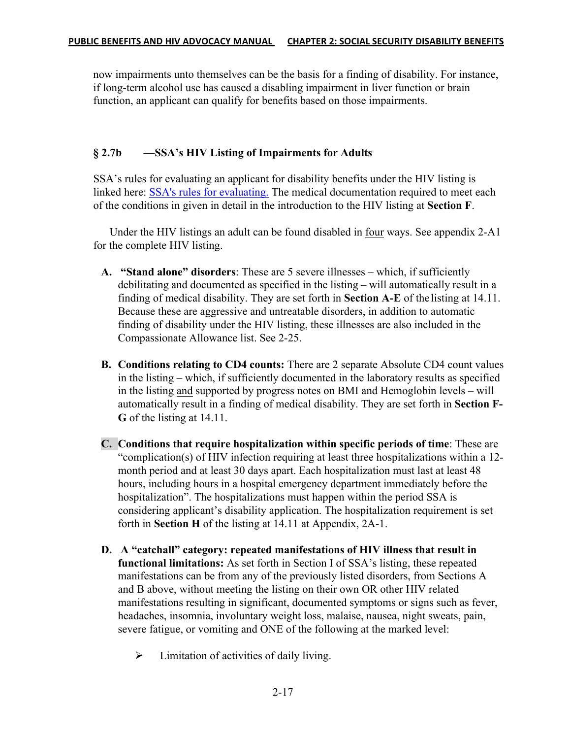now impairments unto themselves can be the basis for a finding of disability. For instance, if long-term alcohol use has caused a disabling impairment in liver function or brain function, an applicant can qualify for benefits based on those impairments.

## **§ 2.7b —SSA's HIV Listing of Impairments for Adults**

SSA's rules for evaluating an applicant for disability benefits under the HIV listing is linked here: SSA's rules for evaluating. The medical documentation required to meet each of the conditions in given in detail in the introduction to the HIV listing at **Section F**.

 Under the HIV listings an adult can be found disabled in four ways. See appendix 2-A1 for the complete HIV listing.

- **A. "Stand alone" disorders**: These are 5 severe illnesses which, if sufficiently debilitating and documented as specified in the listing – will automatically result in a finding of medical disability. They are set forth in **Section A-E** of the listing at 14.11. Because these are aggressive and untreatable disorders, in addition to automatic finding of disability under the HIV listing, these illnesses are also included in the Compassionate Allowance list. See 2-25.
- **B. Conditions relating to CD4 counts:** There are 2 separate Absolute CD4 count values in the listing – which, if sufficiently documented in the laboratory results as specified in the listing and supported by progress notes on BMI and Hemoglobin levels – will automatically result in a finding of medical disability. They are set forth in **Section F-G** of the listing at 14.11.
- **C. Conditions that require hospitalization within specific periods of time**: These are "complication(s) of HIV infection requiring at least three hospitalizations within a 12 month period and at least 30 days apart. Each hospitalization must last at least 48 hours, including hours in a hospital emergency department immediately before the hospitalization". The hospitalizations must happen within the period SSA is considering applicant's disability application. The hospitalization requirement is set forth in **Section H** of the listing at 14.11 at Appendix, 2A-1.
- **D. A "catchall" category: repeated manifestations of HIV illness that result in functional limitations:** As set forth in Section I of SSA's listing, these repeated manifestations can be from any of the previously listed disorders, from Sections A and B above, without meeting the listing on their own OR other HIV related manifestations resulting in significant, documented symptoms or signs such as fever, headaches, insomnia, involuntary weight loss, malaise, nausea, night sweats, pain, severe fatigue, or vomiting and ONE of the following at the marked level:
	- $\triangleright$  Limitation of activities of daily living.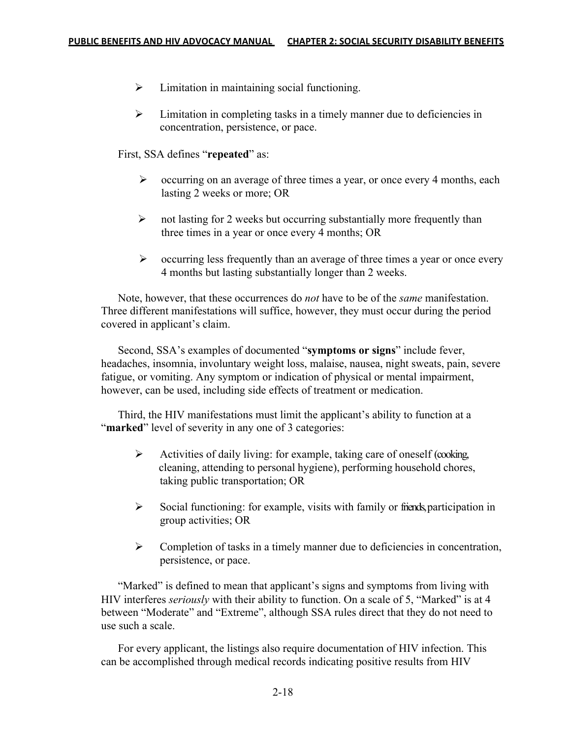- $\triangleright$  Limitation in maintaining social functioning.
- $\triangleright$  Limitation in completing tasks in a timely manner due to deficiencies in concentration, persistence, or pace.

First, SSA defines "**repeated**" as:

- $\triangleright$  occurring on an average of three times a year, or once every 4 months, each lasting 2 weeks or more; OR
- $\triangleright$  not lasting for 2 weeks but occurring substantially more frequently than three times in a year or once every 4 months; OR
- $\triangleright$  occurring less frequently than an average of three times a year or once every 4 months but lasting substantially longer than 2 weeks.

 Note, however, that these occurrences do *not* have to be of the *same* manifestation. Three different manifestations will suffice, however, they must occur during the period covered in applicant's claim.

 Second, SSA's examples of documented "**symptoms or signs**" include fever, headaches, insomnia, involuntary weight loss, malaise, nausea, night sweats, pain, severe fatigue, or vomiting. Any symptom or indication of physical or mental impairment, however, can be used, including side effects of treatment or medication.

 Third, the HIV manifestations must limit the applicant's ability to function at a "**marked**" level of severity in any one of 3 categories:

- $\triangleright$  Activities of daily living: for example, taking care of oneself (cooking, cleaning, attending to personal hygiene), performing household chores, taking public transportation; OR
- $\triangleright$  Social functioning: for example, visits with family or friends, participation in group activities; OR
- $\triangleright$  Completion of tasks in a timely manner due to deficiencies in concentration, persistence, or pace.

"Marked" is defined to mean that applicant's signs and symptoms from living with HIV interferes *seriously* with their ability to function. On a scale of 5, "Marked" is at 4 between "Moderate" and "Extreme", although SSA rules direct that they do not need to use such a scale.

 For every applicant, the listings also require documentation of HIV infection. This can be accomplished through medical records indicating positive results from HIV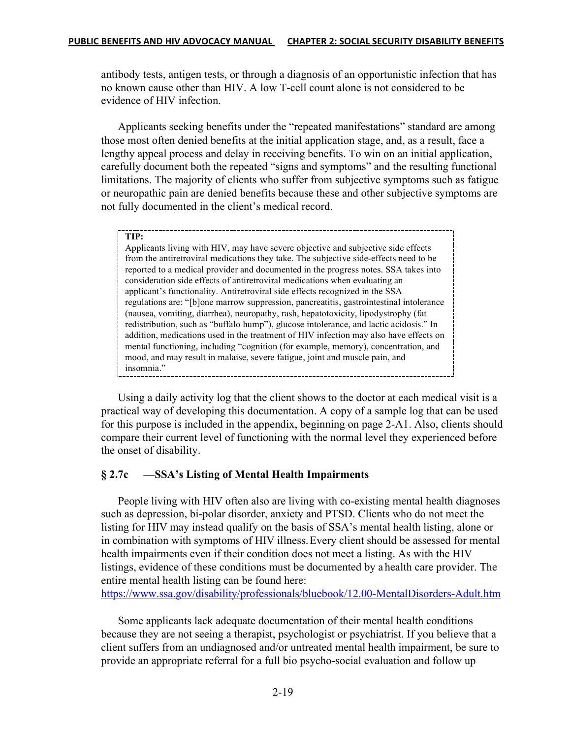antibody tests, antigen tests, or through a diagnosis of an opportunistic infection that has no known cause other than HIV. A low T-cell count alone is not considered to be evidence of HIV infection.

 Applicants seeking benefits under the "repeated manifestations" standard are among those most often denied benefits at the initial application stage, and, as a result, face a lengthy appeal process and delay in receiving benefits. To win on an initial application, carefully document both the repeated "signs and symptoms" and the resulting functional limitations. The majority of clients who suffer from subjective symptoms such as fatigue or neuropathic pain are denied benefits because these and other subjective symptoms are not fully documented in the client's medical record.

#### **TIP:**

Applicants living with HIV, may have severe objective and subjective side effects from the antiretroviral medications they take. The subjective side-effects need to be reported to a medical provider and documented in the progress notes. SSA takes into consideration side effects of antiretroviral medications when evaluating an applicant's functionality. Antiretroviral side effects recognized in the SSA regulations are: "[b]one marrow suppression, pancreatitis, gastrointestinal intolerance (nausea, vomiting, diarrhea), neuropathy, rash, hepatotoxicity, lipodystrophy (fat redistribution, such as "buffalo hump"), glucose intolerance, and lactic acidosis." In addition, medications used in the treatment of HIV infection may also have effects on mental functioning, including "cognition (for example, memory), concentration, and mood, and may result in malaise, severe fatigue, joint and muscle pain, and insomnia."

 Using a daily activity log that the client shows to the doctor at each medical visit is a practical way of developing this documentation. A copy of a sample log that can be used for this purpose is included in the appendix, beginning on page 2-A1. Also, clients should compare their current level of functioning with the normal level they experienced before the onset of disability.

### **§ 2.7c —SSA's Listing of Mental Health Impairments**

 People living with HIV often also are living with co-existing mental health diagnoses such as depression, bi-polar disorder, anxiety and PTSD. Clients who do not meet the listing for HIV may instead qualify on the basis of SSA's mental health listing, alone or in combination with symptoms of HIV illness.Every client should be assessed for mental health impairments even if their condition does not meet a listing. As with the HIV listings, evidence of these conditions must be documented by a health care provider. The entire mental health listing can be found here:

https://www.ssa.gov/disability/professionals/bluebook/12.00-MentalDisorders-Adult.htm

 Some applicants lack adequate documentation of their mental health conditions because they are not seeing a therapist, psychologist or psychiatrist. If you believe that a client suffers from an undiagnosed and/or untreated mental health impairment, be sure to provide an appropriate referral for a full bio psycho-social evaluation and follow up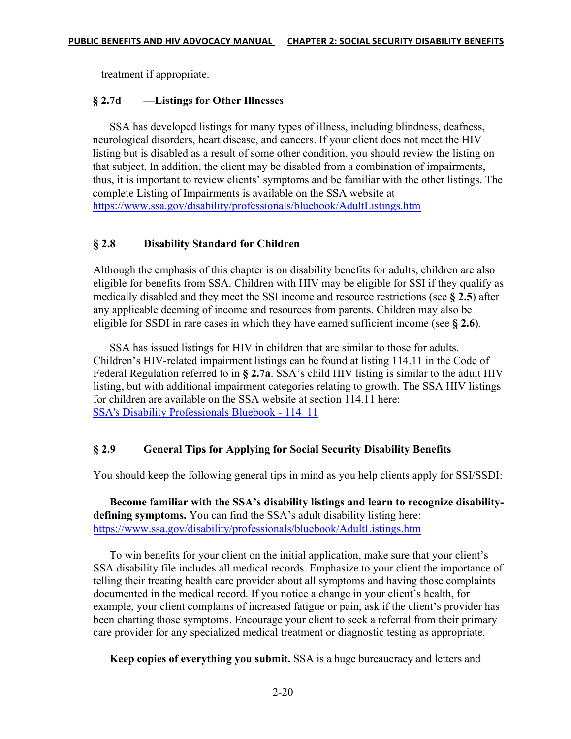treatment if appropriate.

## **§ 2.7d —Listings for Other Illnesses**

 SSA has developed listings for many types of illness, including blindness, deafness, neurological disorders, heart disease, and cancers. If your client does not meet the HIV listing but is disabled as a result of some other condition, you should review the listing on that subject. In addition, the client may be disabled from a combination of impairments, thus, it is important to review clients' symptoms and be familiar with the other listings. The complete Listing of Impairments is available on the SSA website at https://www.ssa.gov/disability/professionals/bluebook/AdultListings.htm

## **§ 2.8 Disability Standard for Children**

Although the emphasis of this chapter is on disability benefits for adults, children are also eligible for benefits from SSA. Children with HIV may be eligible for SSI if they qualify as medically disabled and they meet the SSI income and resource restrictions (see **§ 2.5**) after any applicable deeming of income and resources from parents. Children may also be eligible for SSDI in rare cases in which they have earned sufficient income (see **§ 2.6**).

 SSA has issued listings for HIV in children that are similar to those for adults. Children's HIV-related impairment listings can be found at listing 114.11 in the Code of Federal Regulation referred to in **§ 2.7a**. SSA's child HIV listing is similar to the adult HIV listing, but with additional impairment categories relating to growth. The SSA HIV listings for children are available on the SSA website at section 114.11 here: SSA's Disability Professionals Bluebook - 114\_11

## **§ 2.9 General Tips for Applying for Social Security Disability Benefits**

You should keep the following general tips in mind as you help clients apply for SSI/SSDI:

 **Become familiar with the SSA's disability listings and learn to recognize disabilitydefining symptoms.** You can find the SSA's adult disability listing here: https://www.ssa.gov/disability/professionals/bluebook/AdultListings.htm

 To win benefits for your client on the initial application, make sure that your client's SSA disability file includes all medical records. Emphasize to your client the importance of telling their treating health care provider about all symptoms and having those complaints documented in the medical record. If you notice a change in your client's health, for example, your client complains of increased fatigue or pain, ask if the client's provider has been charting those symptoms. Encourage your client to seek a referral from their primary care provider for any specialized medical treatment or diagnostic testing as appropriate.

 **Keep copies of everything you submit.** SSA is a huge bureaucracy and letters and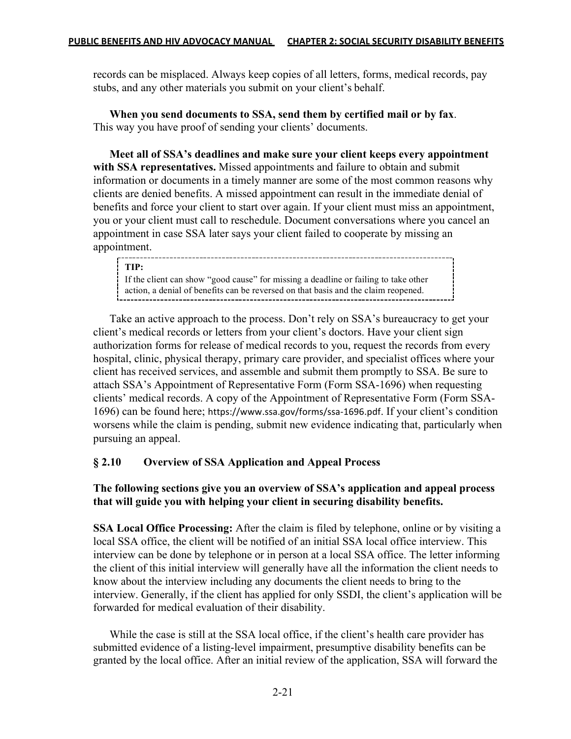records can be misplaced. Always keep copies of all letters, forms, medical records, pay stubs, and any other materials you submit on your client's behalf.

 **When you send documents to SSA, send them by certified mail or by fax**. This way you have proof of sending your clients' documents.

 **Meet all of SSA's deadlines and make sure your client keeps every appointment with SSA representatives.** Missed appointments and failure to obtain and submit information or documents in a timely manner are some of the most common reasons why clients are denied benefits. A missed appointment can result in the immediate denial of benefits and force your client to start over again. If your client must miss an appointment, you or your client must call to reschedule. Document conversations where you cancel an appointment in case SSA later says your client failed to cooperate by missing an appointment.

#### **TIP:**

If the client can show "good cause" for missing a deadline or failing to take other action, a denial of benefits can be reversed on that basis and the claim reopened.

 Take an active approach to the process. Don't rely on SSA's bureaucracy to get your client's medical records or letters from your client's doctors. Have your client sign authorization forms for release of medical records to you, request the records from every hospital, clinic, physical therapy, primary care provider, and specialist offices where your client has received services, and assemble and submit them promptly to SSA. Be sure to attach SSA's Appointment of Representative Form (Form SSA-1696) when requesting clients' medical records. A copy of the Appointment of Representative Form (Form SSA-1696) can be found here; https://www.ssa.gov/forms/ssa-1696.pdf. If your client's condition worsens while the claim is pending, submit new evidence indicating that, particularly when pursuing an appeal.

## **§ 2.10 Overview of SSA Application and Appeal Process**

## **The following sections give you an overview of SSA's application and appeal process that will guide you with helping your client in securing disability benefits.**

**SSA Local Office Processing:** After the claim is filed by telephone, online or by visiting a local SSA office, the client will be notified of an initial SSA local office interview. This interview can be done by telephone or in person at a local SSA office. The letter informing the client of this initial interview will generally have all the information the client needs to know about the interview including any documents the client needs to bring to the interview. Generally, if the client has applied for only SSDI, the client's application will be forwarded for medical evaluation of their disability.

 While the case is still at the SSA local office, if the client's health care provider has submitted evidence of a listing-level impairment, presumptive disability benefits can be granted by the local office. After an initial review of the application, SSA will forward the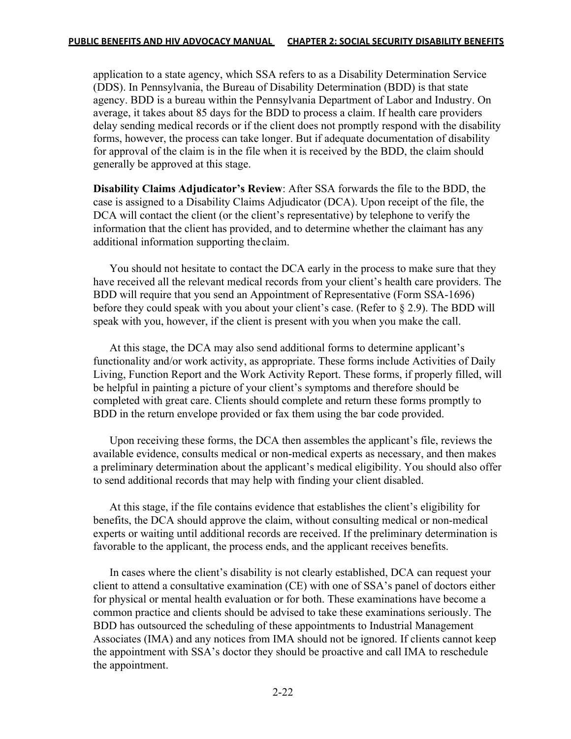application to a state agency, which SSA refers to as a Disability Determination Service (DDS). In Pennsylvania, the Bureau of Disability Determination (BDD) is that state agency. BDD is a bureau within the Pennsylvania Department of Labor and Industry. On average, it takes about 85 days for the BDD to process a claim. If health care providers delay sending medical records or if the client does not promptly respond with the disability forms, however, the process can take longer. But if adequate documentation of disability for approval of the claim is in the file when it is received by the BDD, the claim should generally be approved at this stage.

**Disability Claims Adjudicator's Review**: After SSA forwards the file to the BDD, the case is assigned to a Disability Claims Adjudicator (DCA). Upon receipt of the file, the DCA will contact the client (or the client's representative) by telephone to verify the information that the client has provided, and to determine whether the claimant has any additional information supporting theclaim.

 You should not hesitate to contact the DCA early in the process to make sure that they have received all the relevant medical records from your client's health care providers. The BDD will require that you send an Appointment of Representative (Form SSA-1696) before they could speak with you about your client's case. (Refer to § 2.9). The BDD will speak with you, however, if the client is present with you when you make the call.

 At this stage, the DCA may also send additional forms to determine applicant's functionality and/or work activity, as appropriate. These forms include Activities of Daily Living, Function Report and the Work Activity Report. These forms, if properly filled, will be helpful in painting a picture of your client's symptoms and therefore should be completed with great care. Clients should complete and return these forms promptly to BDD in the return envelope provided or fax them using the bar code provided.

 Upon receiving these forms, the DCA then assembles the applicant's file, reviews the available evidence, consults medical or non-medical experts as necessary, and then makes a preliminary determination about the applicant's medical eligibility. You should also offer to send additional records that may help with finding your client disabled.

 At this stage, if the file contains evidence that establishes the client's eligibility for benefits, the DCA should approve the claim, without consulting medical or non-medical experts or waiting until additional records are received. If the preliminary determination is favorable to the applicant, the process ends, and the applicant receives benefits.

 In cases where the client's disability is not clearly established, DCA can request your client to attend a consultative examination (CE) with one of SSA's panel of doctors either for physical or mental health evaluation or for both. These examinations have become a common practice and clients should be advised to take these examinations seriously. The BDD has outsourced the scheduling of these appointments to Industrial Management Associates (IMA) and any notices from IMA should not be ignored. If clients cannot keep the appointment with SSA's doctor they should be proactive and call IMA to reschedule the appointment.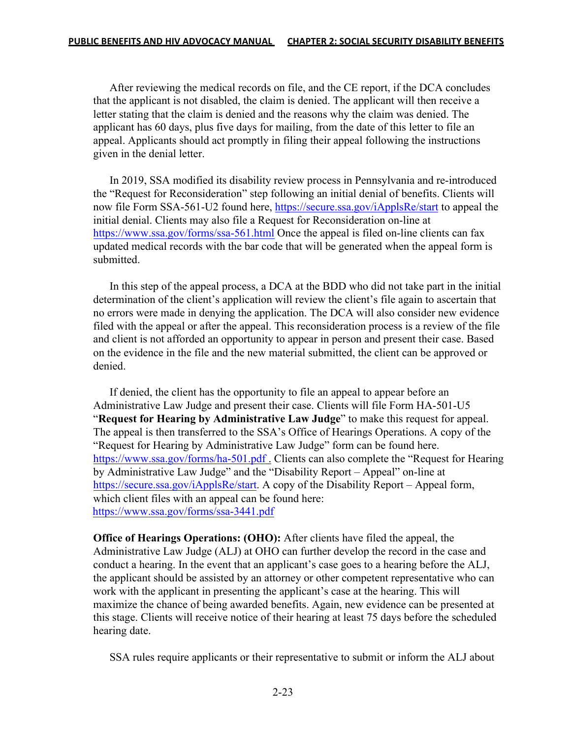After reviewing the medical records on file, and the CE report, if the DCA concludes that the applicant is not disabled, the claim is denied. The applicant will then receive a letter stating that the claim is denied and the reasons why the claim was denied. The applicant has 60 days, plus five days for mailing, from the date of this letter to file an appeal. Applicants should act promptly in filing their appeal following the instructions given in the denial letter.

 In 2019, SSA modified its disability review process in Pennsylvania and re-introduced the "Request for Reconsideration" step following an initial denial of benefits. Clients will now file Form SSA-561-U2 found here, https://secure.ssa.gov/iApplsRe/start to appeal the initial denial. Clients may also file a Request for Reconsideration on-line at https://www.ssa.gov/forms/ssa-561.html Once the appeal is filed on-line clients can fax updated medical records with the bar code that will be generated when the appeal form is submitted.

 In this step of the appeal process, a DCA at the BDD who did not take part in the initial determination of the client's application will review the client's file again to ascertain that no errors were made in denying the application. The DCA will also consider new evidence filed with the appeal or after the appeal. This reconsideration process is a review of the file and client is not afforded an opportunity to appear in person and present their case. Based on the evidence in the file and the new material submitted, the client can be approved or denied.

 If denied, the client has the opportunity to file an appeal to appear before an Administrative Law Judge and present their case. Clients will file Form HA-501-U5 "**Request for Hearing by Administrative Law Judge**" to make this request for appeal. The appeal is then transferred to the SSA's Office of Hearings Operations. A copy of the "Request for Hearing by Administrative Law Judge" form can be found here. https://www.ssa.gov/forms/ha-501.pdf . Clients can also complete the "Request for Hearing by Administrative Law Judge" and the "Disability Report – Appeal" on-line at https://secure.ssa.gov/iApplsRe/start. A copy of the Disability Report – Appeal form, which client files with an appeal can be found here: https://www.ssa.gov/forms/ssa-3441.pdf

**Office of Hearings Operations: (OHO):** After clients have filed the appeal, the Administrative Law Judge (ALJ) at OHO can further develop the record in the case and conduct a hearing. In the event that an applicant's case goes to a hearing before the ALJ, the applicant should be assisted by an attorney or other competent representative who can work with the applicant in presenting the applicant's case at the hearing. This will maximize the chance of being awarded benefits. Again, new evidence can be presented at this stage. Clients will receive notice of their hearing at least 75 days before the scheduled hearing date.

SSA rules require applicants or their representative to submit or inform the ALJ about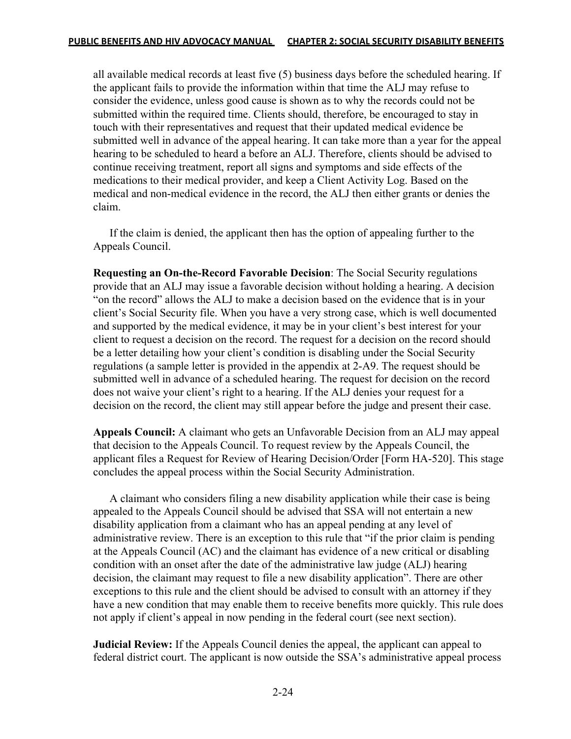all available medical records at least five (5) business days before the scheduled hearing. If the applicant fails to provide the information within that time the ALJ may refuse to consider the evidence, unless good cause is shown as to why the records could not be submitted within the required time. Clients should, therefore, be encouraged to stay in touch with their representatives and request that their updated medical evidence be submitted well in advance of the appeal hearing. It can take more than a year for the appeal hearing to be scheduled to heard a before an ALJ. Therefore, clients should be advised to continue receiving treatment, report all signs and symptoms and side effects of the medications to their medical provider, and keep a Client Activity Log. Based on the medical and non-medical evidence in the record, the ALJ then either grants or denies the claim.

 If the claim is denied, the applicant then has the option of appealing further to the Appeals Council.

**Requesting an On-the-Record Favorable Decision**: The Social Security regulations provide that an ALJ may issue a favorable decision without holding a hearing. A decision "on the record" allows the ALJ to make a decision based on the evidence that is in your client's Social Security file. When you have a very strong case, which is well documented and supported by the medical evidence, it may be in your client's best interest for your client to request a decision on the record. The request for a decision on the record should be a letter detailing how your client's condition is disabling under the Social Security regulations (a sample letter is provided in the appendix at 2-A9. The request should be submitted well in advance of a scheduled hearing. The request for decision on the record does not waive your client's right to a hearing. If the ALJ denies your request for a decision on the record, the client may still appear before the judge and present their case.

**Appeals Council:** A claimant who gets an Unfavorable Decision from an ALJ may appeal that decision to the Appeals Council. To request review by the Appeals Council, the applicant files a Request for Review of Hearing Decision/Order [Form HA-520]. This stage concludes the appeal process within the Social Security Administration.

 A claimant who considers filing a new disability application while their case is being appealed to the Appeals Council should be advised that SSA will not entertain a new disability application from a claimant who has an appeal pending at any level of administrative review. There is an exception to this rule that "if the prior claim is pending at the Appeals Council (AC) and the claimant has evidence of a new critical or disabling condition with an onset after the date of the administrative law judge (ALJ) hearing decision, the claimant may request to file a new disability application". There are other exceptions to this rule and the client should be advised to consult with an attorney if they have a new condition that may enable them to receive benefits more quickly. This rule does not apply if client's appeal in now pending in the federal court (see next section).

**Judicial Review:** If the Appeals Council denies the appeal, the applicant can appeal to federal district court. The applicant is now outside the SSA's administrative appeal process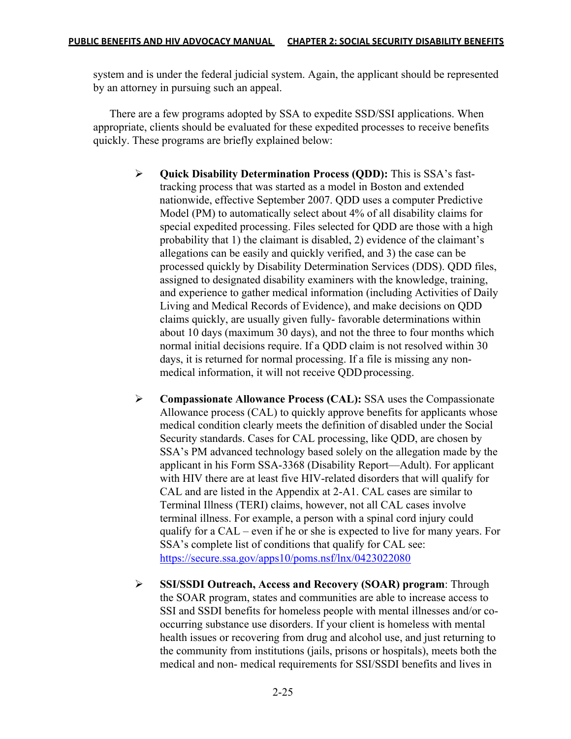system and is under the federal judicial system. Again, the applicant should be represented by an attorney in pursuing such an appeal.

 There are a few programs adopted by SSA to expedite SSD/SSI applications. When appropriate, clients should be evaluated for these expedited processes to receive benefits quickly. These programs are briefly explained below:

- Ø **Quick Disability Determination Process (QDD):** This is SSA's fast tracking process that was started as a model in Boston and extended nationwide, effective September 2007. QDD uses a computer Predictive Model (PM) to automatically select about 4% of all disability claims for special expedited processing. Files selected for QDD are those with a high probability that 1) the claimant is disabled, 2) evidence of the claimant's allegations can be easily and quickly verified, and 3) the case can be processed quickly by Disability Determination Services (DDS). QDD files, assigned to designated disability examiners with the knowledge, training, and experience to gather medical information (including Activities of Daily Living and Medical Records of Evidence), and make decisions on QDD claims quickly, are usually given fully- favorable determinations within about 10 days (maximum 30 days), and not the three to four months which normal initial decisions require. If a QDD claim is not resolved within 30 days, it is returned for normal processing. If a file is missing any non medical information, it will not receive QDD processing.
- Ø **Compassionate Allowance Process (CAL):** SSA uses the Compassionate Allowance process (CAL) to quickly approve benefits for applicants whose medical condition clearly meets the definition of disabled under the Social Security standards. Cases for CAL processing, like QDD, are chosen by SSA's PM advanced technology based solely on the allegation made by the applicant in his Form SSA-3368 (Disability Report—Adult). For applicant with HIV there are at least five HIV-related disorders that will qualify for CAL and are listed in the Appendix at 2-A1. CAL cases are similar to Terminal Illness (TERI) claims, however, not all CAL cases involve terminal illness. For example, a person with a spinal cord injury could qualify for a CAL – even if he or she is expected to live for many years. For SSA's complete list of conditions that qualify for CAL see: https://secure.ssa.gov/apps10/poms.nsf/lnx/0423022080
- Ø **SSI/SSDI Outreach, Access and Recovery (SOAR) program**: Through the SOAR program, states and communities are able to increase access to SSI and SSDI benefits for homeless people with mental illnesses and/or co occurring substance use disorders. If your client is homeless with mental health issues or recovering from drug and alcohol use, and just returning to the community from institutions (jails, prisons or hospitals), meets both the medical and non- medical requirements for SSI/SSDI benefits and lives in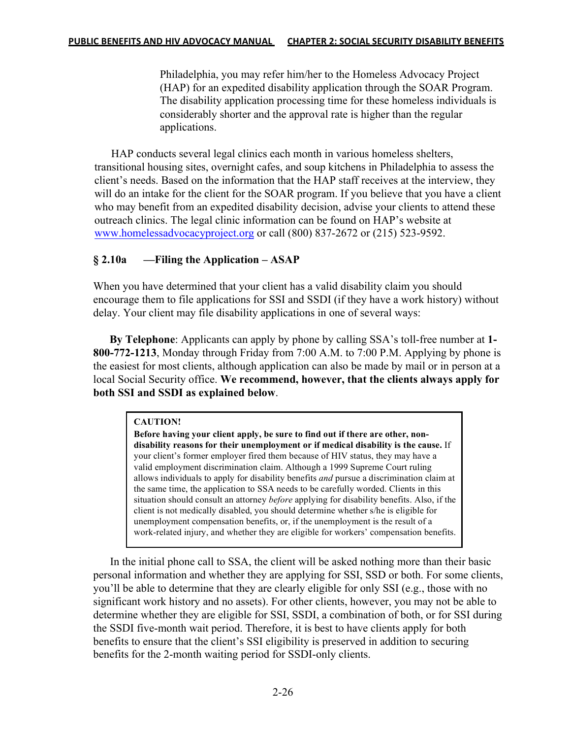Philadelphia, you may refer him/her to the Homeless Advocacy Project (HAP) for an expedited disability application through the SOAR Program. The disability application processing time for these homeless individuals is considerably shorter and the approval rate is higher than the regular applications.

 HAP conducts several legal clinics each month in various homeless shelters, transitional housing sites, overnight cafes, and soup kitchens in Philadelphia to assess the client's needs. Based on the information that the HAP staff receives at the interview, they will do an intake for the client for the SOAR program. If you believe that you have a client who may benefit from an expedited disability decision, advise your clients to attend these outreach clinics. The legal clinic information can be found on HAP's website at www.homelessadvocacyproject.org or call (800) 837-2672 or (215) 523-9592.

## **§ 2.10a —Filing the Application – ASAP**

When you have determined that your client has a valid disability claim you should encourage them to file applications for SSI and SSDI (if they have a work history) without delay. Your client may file disability applications in one of several ways:

 **By Telephone**: Applicants can apply by phone by calling SSA's toll-free number at **1- 800-772-1213**, Monday through Friday from 7:00 A.M. to 7:00 P.M. Applying by phone is the easiest for most clients, although application can also be made by mail or in person at a local Social Security office. **We recommend, however, that the clients always apply for both SSI and SSDI as explained below**.

### **CAUTION!**

**Before having your client apply, be sure to find out if there are other, nondisability reasons for their unemployment or if medical disability is the cause.** If your client's former employer fired them because of HIV status, they may have a valid employment discrimination claim. Although a 1999 Supreme Court ruling allows individuals to apply for disability benefits *and* pursue a discrimination claim at the same time, the application to SSA needs to be carefully worded. Clients in this situation should consult an attorney *before* applying for disability benefits. Also, if the client is not medically disabled, you should determine whether s/he is eligible for unemployment compensation benefits, or, if the unemployment is the result of a work-related injury, and whether they are eligible for workers' compensation benefits.

In the initial phone call to SSA, the client will be asked nothing more than their basic personal information and whether they are applying for SSI, SSD or both. For some clients, you'll be able to determine that they are clearly eligible for only SSI (e.g., those with no significant work history and no assets). For other clients, however, you may not be able to determine whether they are eligible for SSI, SSDI, a combination of both, or for SSI during the SSDI five-month wait period. Therefore, it is best to have clients apply for both benefits to ensure that the client's SSI eligibility is preserved in addition to securing benefits for the 2-month waiting period for SSDI-only clients.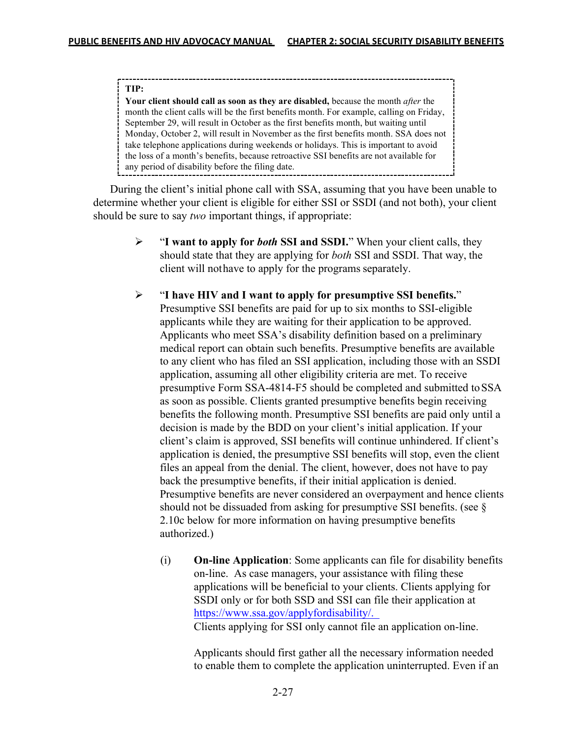#### **TIP:**

**Your client should call as soon as they are disabled,** because the month *after* the month the client calls will be the first benefits month. For example, calling on Friday, September 29, will result in October as the first benefits month, but waiting until Monday, October 2, will result in November as the first benefits month. SSA does not take telephone applications during weekends or holidays. This is important to avoid the loss of a month's benefits, because retroactive SSI benefits are not available for any period of disability before the filing date.

During the client's initial phone call with SSA, assuming that you have been unable to determine whether your client is eligible for either SSI or SSDI (and not both), your client should be sure to say *two* important things, if appropriate:

- Ø "**I want to apply for** *both* **SSI and SSDI.**" When your client calls, they should state that they are applying for *both* SSI and SSDI. That way, the client will nothave to apply for the programs separately.
- Ø "**I have HIV and I want to apply for presumptive SSI benefits.**" Presumptive SSI benefits are paid for up to six months to SSI-eligible applicants while they are waiting for their application to be approved. Applicants who meet SSA's disability definition based on a preliminary medical report can obtain such benefits. Presumptive benefits are available to any client who has filed an SSI application, including those with an SSDI application, assuming all other eligibility criteria are met. To receive presumptive Form SSA-4814-F5 should be completed and submitted toSSA as soon as possible. Clients granted presumptive benefits begin receiving benefits the following month. Presumptive SSI benefits are paid only until a decision is made by the BDD on your client's initial application. If your client's claim is approved, SSI benefits will continue unhindered. If client's application is denied, the presumptive SSI benefits will stop, even the client files an appeal from the denial. The client, however, does not have to pay back the presumptive benefits, if their initial application is denied. Presumptive benefits are never considered an overpayment and hence clients should not be dissuaded from asking for presumptive SSI benefits. (see § 2.10c below for more information on having presumptive benefits authorized.)
	- (i) **On-line Application**: Some applicants can file for disability benefits on-line. As case managers, your assistance with filing these applications will be beneficial to your clients. Clients applying for SSDI only or for both SSD and SSI can file their application at https://www.ssa.gov/applyfordisability/. Clients applying for SSI only cannot file an application on-line.

Applicants should first gather all the necessary information needed to enable them to complete the application uninterrupted. Even if an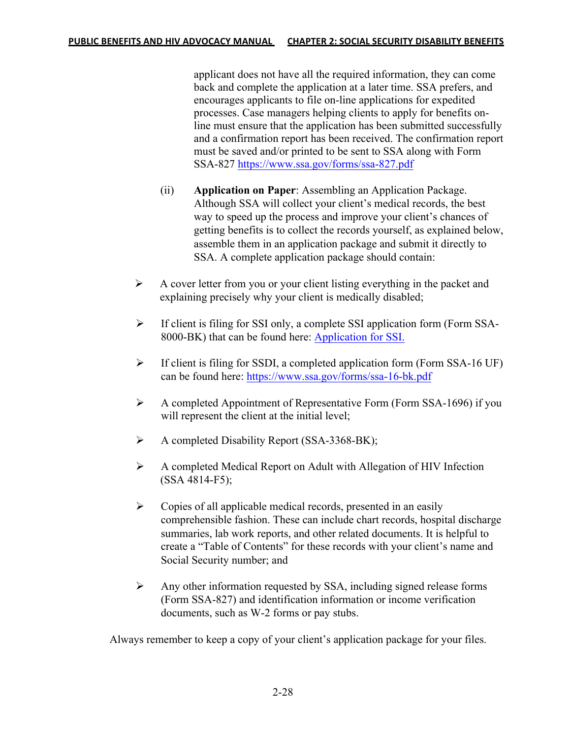applicant does not have all the required information, they can come back and complete the application at a later time. SSA prefers, and encourages applicants to file on-line applications for expedited processes. Case managers helping clients to apply for benefits online must ensure that the application has been submitted successfully and a confirmation report has been received. The confirmation report must be saved and/or printed to be sent to SSA along with Form SSA-827 https://www.ssa.gov/forms/ssa-827.pdf

- (ii) **Application on Paper**: Assembling an Application Package. Although SSA will collect your client's medical records, the best way to speed up the process and improve your client's chances of getting benefits is to collect the records yourself, as explained below, assemble them in an application package and submit it directly to SSA. A complete application package should contain:
- $\triangleright$  A cover letter from you or your client listing everything in the packet and explaining precisely why your client is medically disabled;
- Ø If client is filing for SSI only, a complete SSI application form (Form SSA- 8000-BK) that can be found here: Application for SSI.
- $\triangleright$  If client is filing for SSDI, a completed application form (Form SSA-16 UF) can be found here: https://www.ssa.gov/forms/ssa-16-bk.pdf
- $\triangleright$  A completed Appointment of Representative Form (Form SSA-1696) if you will represent the client at the initial level;
- $\triangleright$  A completed Disability Report (SSA-3368-BK);
- $\triangleright$  A completed Medical Report on Adult with Allegation of HIV Infection (SSA 4814-F5);
- $\triangleright$  Copies of all applicable medical records, presented in an easily comprehensible fashion. These can include chart records, hospital discharge summaries, lab work reports, and other related documents. It is helpful to create a "Table of Contents" for these records with your client's name and Social Security number; and
- Ø Any other information requested by SSA, including signed release forms (Form SSA-827) and identification information or income verification documents, such as W-2 forms or pay stubs.

Always remember to keep a copy of your client's application package for your files.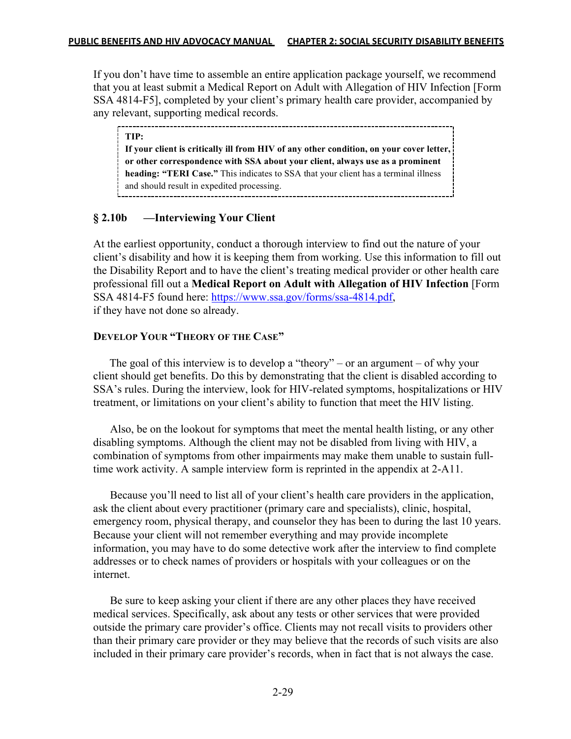If you don't have time to assemble an entire application package yourself, we recommend that you at least submit a Medical Report on Adult with Allegation of HIV Infection [Form SSA 4814-F5], completed by your client's primary health care provider, accompanied by any relevant, supporting medical records.

**TIP: If your client is critically ill from HIV of any other condition, on your cover letter, or other correspondence with SSA about your client, always use as a prominent heading: "TERI Case."** This indicates to SSA that your client has a terminal illness and should result in expedited processing. 

### **§ 2.10b —Interviewing Your Client**

At the earliest opportunity, conduct a thorough interview to find out the nature of your client's disability and how it is keeping them from working. Use this information to fill out the Disability Report and to have the client's treating medical provider or other health care professional fill out a **Medical Report on Adult with Allegation of HIV Infection** [Form SSA 4814-F5 found here: https://www.ssa.gov/forms/ssa-4814.pdf, if they have not done so already.

### **DEVELOP YOUR "THEORY OF THE CASE"**

 The goal of this interview is to develop a "theory" – or an argument – of why your client should get benefits. Do this by demonstrating that the client is disabled according to SSA's rules. During the interview, look for HIV-related symptoms, hospitalizations or HIV treatment, or limitations on your client's ability to function that meet the HIV listing.

Also, be on the lookout for symptoms that meet the mental health listing, or any other disabling symptoms. Although the client may not be disabled from living with HIV, a combination of symptoms from other impairments may make them unable to sustain fulltime work activity. A sample interview form is reprinted in the appendix at 2-A11.

Because you'll need to list all of your client's health care providers in the application, ask the client about every practitioner (primary care and specialists), clinic, hospital, emergency room, physical therapy, and counselor they has been to during the last 10 years. Because your client will not remember everything and may provide incomplete information, you may have to do some detective work after the interview to find complete addresses or to check names of providers or hospitals with your colleagues or on the internet.

Be sure to keep asking your client if there are any other places they have received medical services. Specifically, ask about any tests or other services that were provided outside the primary care provider's office. Clients may not recall visits to providers other than their primary care provider or they may believe that the records of such visits are also included in their primary care provider's records, when in fact that is not always the case.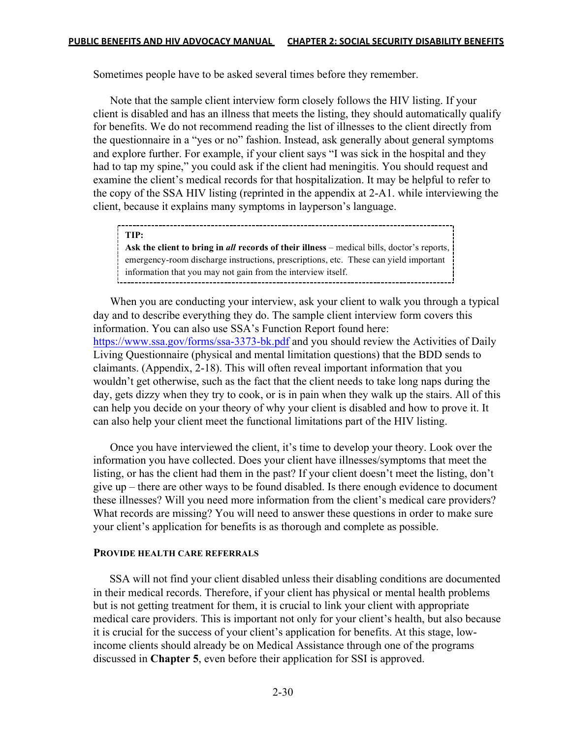Sometimes people have to be asked several times before they remember.

Note that the sample client interview form closely follows the HIV listing. If your client is disabled and has an illness that meets the listing, they should automatically qualify for benefits. We do not recommend reading the list of illnesses to the client directly from the questionnaire in a "yes or no" fashion. Instead, ask generally about general symptoms and explore further. For example, if your client says "I was sick in the hospital and they had to tap my spine," you could ask if the client had meningitis. You should request and examine the client's medical records for that hospitalization. It may be helpful to refer to the copy of the SSA HIV listing (reprinted in the appendix at 2-A1. while interviewing the client, because it explains many symptoms in layperson's language.

**TIP: Ask the client to bring in** *all* **records of their illness** – medical bills, doctor's reports, emergency-room discharge instructions, prescriptions, etc. These can yield important information that you may not gain from the interview itself.

When you are conducting your interview, ask your client to walk you through a typical day and to describe everything they do. The sample client interview form covers this information. You can also use SSA's Function Report found here: https://www.ssa.gov/forms/ssa-3373-bk.pdf and you should review the Activities of Daily Living Questionnaire (physical and mental limitation questions) that the BDD sends to claimants. (Appendix, 2-18). This will often reveal important information that you wouldn't get otherwise, such as the fact that the client needs to take long naps during the day, gets dizzy when they try to cook, or is in pain when they walk up the stairs. All of this can help you decide on your theory of why your client is disabled and how to prove it. It can also help your client meet the functional limitations part of the HIV listing.

Once you have interviewed the client, it's time to develop your theory. Look over the information you have collected. Does your client have illnesses/symptoms that meet the listing, or has the client had them in the past? If your client doesn't meet the listing, don't give up – there are other ways to be found disabled. Is there enough evidence to document these illnesses? Will you need more information from the client's medical care providers? What records are missing? You will need to answer these questions in order to make sure your client's application for benefits is as thorough and complete as possible.

### **PROVIDE HEALTH CARE REFERRALS**

 SSA will not find your client disabled unless their disabling conditions are documented in their medical records. Therefore, if your client has physical or mental health problems but is not getting treatment for them, it is crucial to link your client with appropriate medical care providers. This is important not only for your client's health, but also because it is crucial for the success of your client's application for benefits. At this stage, lowincome clients should already be on Medical Assistance through one of the programs discussed in **Chapter 5**, even before their application for SSI is approved.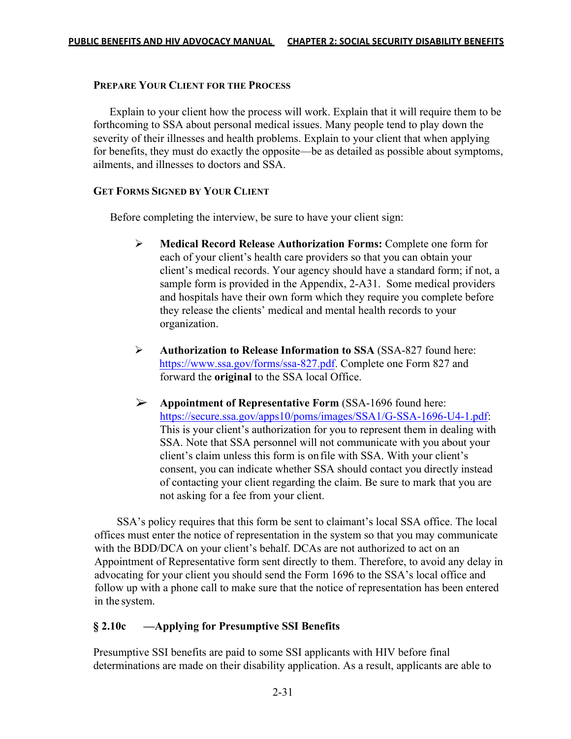#### **PREPARE YOUR CLIENT FOR THE PROCESS**

 Explain to your client how the process will work. Explain that it will require them to be forthcoming to SSA about personal medical issues. Many people tend to play down the severity of their illnesses and health problems. Explain to your client that when applying for benefits, they must do exactly the opposite—be as detailed as possible about symptoms, ailments, and illnesses to doctors and SSA.

### **GET FORMS SIGNED BY YOUR CLIENT**

Before completing the interview, be sure to have your client sign:

- Ø **Medical Record Release Authorization Forms:** Complete one form for each of your client's health care providers so that you can obtain your client's medical records. Your agency should have a standard form; if not, a sample form is provided in the Appendix, 2-A31. Some medical providers and hospitals have their own form which they require you complete before they release the clients' medical and mental health records to your organization.
- Ø **Authorization to Release Information to SSA** (SSA-827 found here: https://www.ssa.gov/forms/ssa-827.pdf. Complete one Form 827 and forward the **original** to the SSA local Office.
- Ø **Appointment of Representative Form** (SSA-1696 found here: https://secure.ssa.gov/apps10/poms/images/SSA1/G-SSA-1696-U4-1.pdf: This is your client's authorization for you to represent them in dealing with SSA. Note that SSA personnel will not communicate with you about your client's claim unless this form is onfile with SSA. With your client's consent, you can indicate whether SSA should contact you directly instead of contacting your client regarding the claim. Be sure to mark that you are not asking for a fee from your client.

 SSA's policy requires that this form be sent to claimant's local SSA office. The local offices must enter the notice of representation in the system so that you may communicate with the BDD/DCA on your client's behalf. DCAs are not authorized to act on an Appointment of Representative form sent directly to them. Therefore, to avoid any delay in advocating for your client you should send the Form 1696 to the SSA's local office and follow up with a phone call to make sure that the notice of representation has been entered in the system.

## **§ 2.10c —Applying for Presumptive SSI Benefits**

Presumptive SSI benefits are paid to some SSI applicants with HIV before final determinations are made on their disability application. As a result, applicants are able to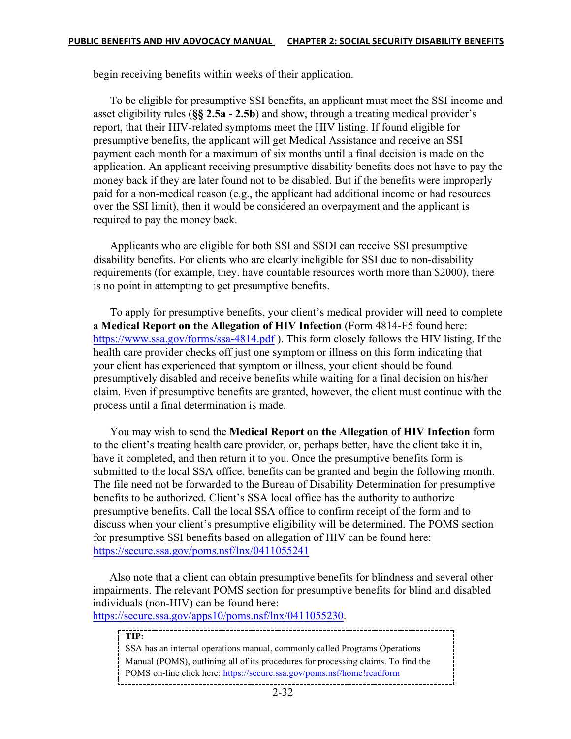begin receiving benefits within weeks of their application.

To be eligible for presumptive SSI benefits, an applicant must meet the SSI income and asset eligibility rules (**§§ 2.5a - 2.5b**) and show, through a treating medical provider's report, that their HIV-related symptoms meet the HIV listing. If found eligible for presumptive benefits, the applicant will get Medical Assistance and receive an SSI payment each month for a maximum of six months until a final decision is made on the application. An applicant receiving presumptive disability benefits does not have to pay the money back if they are later found not to be disabled. But if the benefits were improperly paid for a non-medical reason (e.g., the applicant had additional income or had resources over the SSI limit), then it would be considered an overpayment and the applicant is required to pay the money back.

Applicants who are eligible for both SSI and SSDI can receive SSI presumptive disability benefits. For clients who are clearly ineligible for SSI due to non-disability requirements (for example, they. have countable resources worth more than \$2000), there is no point in attempting to get presumptive benefits.

To apply for presumptive benefits, your client's medical provider will need to complete a **Medical Report on the Allegation of HIV Infection** (Form 4814-F5 found here: https://www.ssa.gov/forms/ssa-4814.pdf ). This form closely follows the HIV listing. If the health care provider checks off just one symptom or illness on this form indicating that your client has experienced that symptom or illness, your client should be found presumptively disabled and receive benefits while waiting for a final decision on his/her claim. Even if presumptive benefits are granted, however, the client must continue with the process until a final determination is made.

You may wish to send the **Medical Report on the Allegation of HIV Infection** form to the client's treating health care provider, or, perhaps better, have the client take it in, have it completed, and then return it to you. Once the presumptive benefits form is submitted to the local SSA office, benefits can be granted and begin the following month. The file need not be forwarded to the Bureau of Disability Determination for presumptive benefits to be authorized. Client's SSA local office has the authority to authorize presumptive benefits. Call the local SSA office to confirm receipt of the form and to discuss when your client's presumptive eligibility will be determined. The POMS section for presumptive SSI benefits based on allegation of HIV can be found here: https://secure.ssa.gov/poms.nsf/lnx/0411055241

Also note that a client can obtain presumptive benefits for blindness and several other impairments. The relevant POMS section for presumptive benefits for blind and disabled individuals (non-HIV) can be found here:

https://secure.ssa.gov/apps10/poms.nsf/lnx/0411055230.

**TIP:**  SSA has an internal operations manual, commonly called Programs Operations Manual (POMS), outlining all of its procedures for processing claims. To find the POMS on-line click here: https://secure.ssa.gov/poms.nsf/home!readform-----------------------------------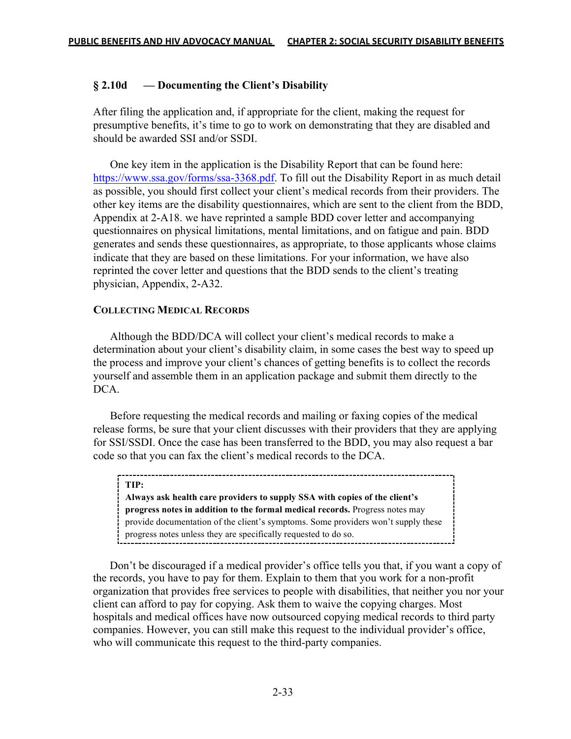### **§ 2.10d — Documenting the Client's Disability**

After filing the application and, if appropriate for the client, making the request for presumptive benefits, it's time to go to work on demonstrating that they are disabled and should be awarded SSI and/or SSDI.

One key item in the application is the Disability Report that can be found here: https://www.ssa.gov/forms/ssa-3368.pdf. To fill out the Disability Report in as much detail as possible, you should first collect your client's medical records from their providers. The other key items are the disability questionnaires, which are sent to the client from the BDD, Appendix at 2-A18. we have reprinted a sample BDD cover letter and accompanying questionnaires on physical limitations, mental limitations, and on fatigue and pain. BDD generates and sends these questionnaires, as appropriate, to those applicants whose claims indicate that they are based on these limitations. For your information, we have also reprinted the cover letter and questions that the BDD sends to the client's treating physician, Appendix, 2-A32.

#### **COLLECTING MEDICAL RECORDS**

 Although the BDD/DCA will collect your client's medical records to make a determination about your client's disability claim, in some cases the best way to speed up the process and improve your client's chances of getting benefits is to collect the records yourself and assemble them in an application package and submit them directly to the DCA.

Before requesting the medical records and mailing or faxing copies of the medical release forms, be sure that your client discusses with their providers that they are applying for SSI/SSDI. Once the case has been transferred to the BDD, you may also request a bar code so that you can fax the client's medical records to the DCA.

#### **TIP:**

**Always ask health care providers to supply SSA with copies of the client's progress notes in addition to the formal medical records.** Progress notes may provide documentation of the client's symptoms. Some providers won't supply these progress notes unless they are specifically requested to do so.

 Don't be discouraged if a medical provider's office tells you that, if you want a copy of the records, you have to pay for them. Explain to them that you work for a non-profit organization that provides free services to people with disabilities, that neither you nor your client can afford to pay for copying. Ask them to waive the copying charges. Most hospitals and medical offices have now outsourced copying medical records to third party companies. However, you can still make this request to the individual provider's office, who will communicate this request to the third-party companies.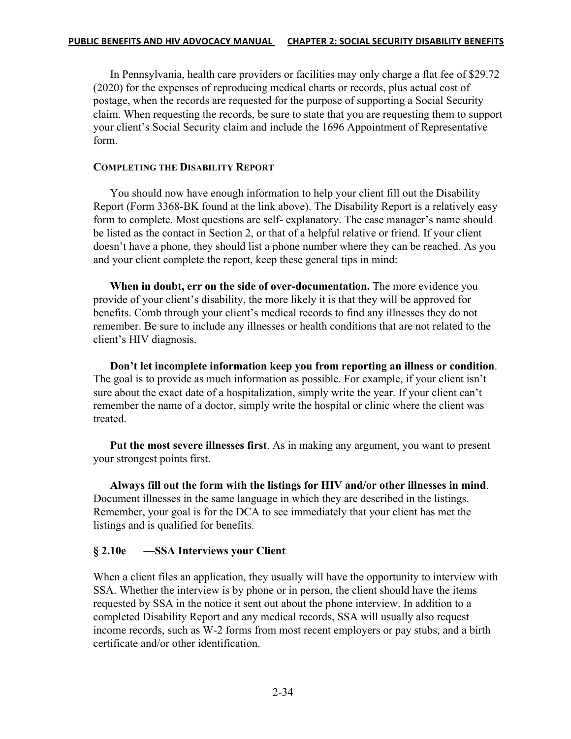In Pennsylvania, health care providers or facilities may only charge a flat fee of \$29.72 (2020) for the expenses of reproducing medical charts or records, plus actual cost of postage, when the records are requested for the purpose of supporting a Social Security claim. When requesting the records, be sure to state that you are requesting them to support your client's Social Security claim and include the 1696 Appointment of Representative form.

### **COMPLETING THE DISABILITY REPORT**

 You should now have enough information to help your client fill out the Disability Report (Form 3368-BK found at the link above). The Disability Report is a relatively easy form to complete. Most questions are self- explanatory. The case manager's name should be listed as the contact in Section 2, or that of a helpful relative or friend. If your client doesn't have a phone, they should list a phone number where they can be reached. As you and your client complete the report, keep these general tips in mind:

**When in doubt, err on the side of over-documentation.** The more evidence you provide of your client's disability, the more likely it is that they will be approved for benefits. Comb through your client's medical records to find any illnesses they do not remember. Be sure to include any illnesses or health conditions that are not related to the client's HIV diagnosis.

**Don't let incomplete information keep you from reporting an illness or condition**. The goal is to provide as much information as possible. For example, if your client isn't sure about the exact date of a hospitalization, simply write the year. If your client can't remember the name of a doctor, simply write the hospital or clinic where the client was treated.

**Put the most severe illnesses first**. As in making any argument, you want to present your strongest points first.

**Always fill out the form with the listings for HIV and/or other illnesses in mind**. Document illnesses in the same language in which they are described in the listings. Remember, your goal is for the DCA to see immediately that your client has met the listings and is qualified for benefits.

## **§ 2.10e —SSA Interviews your Client**

When a client files an application, they usually will have the opportunity to interview with SSA. Whether the interview is by phone or in person, the client should have the items requested by SSA in the notice it sent out about the phone interview. In addition to a completed Disability Report and any medical records, SSA will usually also request income records, such as W-2 forms from most recent employers or pay stubs, and a birth certificate and/or other identification.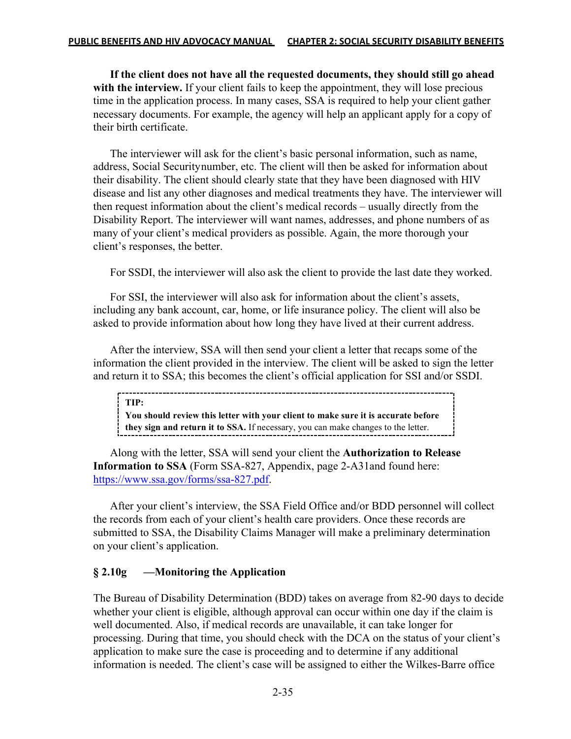**If the client does not have all the requested documents, they should still go ahead**  with the interview. If your client fails to keep the appointment, they will lose precious time in the application process. In many cases, SSA is required to help your client gather necessary documents. For example, the agency will help an applicant apply for a copy of their birth certificate.

The interviewer will ask for the client's basic personal information, such as name, address, Social Securitynumber, etc. The client will then be asked for information about their disability. The client should clearly state that they have been diagnosed with HIV disease and list any other diagnoses and medical treatments they have. The interviewer will then request information about the client's medical records – usually directly from the Disability Report. The interviewer will want names, addresses, and phone numbers of as many of your client's medical providers as possible. Again, the more thorough your client's responses, the better.

For SSDI, the interviewer will also ask the client to provide the last date they worked.

For SSI, the interviewer will also ask for information about the client's assets, including any bank account, car, home, or life insurance policy. The client will also be asked to provide information about how long they have lived at their current address.

After the interview, SSA will then send your client a letter that recaps some of the information the client provided in the interview. The client will be asked to sign the letter and return it to SSA; this becomes the client's official application for SSI and/or SSDI.

**TIP: You should review this letter with your client to make sure it is accurate before** 

**they sign and return it to SSA.** If necessary, you can make changes to the letter.

Along with the letter, SSA will send your client the **Authorization to Release Information to SSA** (Form SSA-827, Appendix, page 2-A31and found here: https://www.ssa.gov/forms/ssa-827.pdf.

After your client's interview, the SSA Field Office and/or BDD personnel will collect the records from each of your client's health care providers. Once these records are submitted to SSA, the Disability Claims Manager will make a preliminary determination on your client's application.

### **§ 2.10g —Monitoring the Application**

The Bureau of Disability Determination (BDD) takes on average from 82-90 days to decide whether your client is eligible, although approval can occur within one day if the claim is well documented. Also, if medical records are unavailable, it can take longer for processing. During that time, you should check with the DCA on the status of your client's application to make sure the case is proceeding and to determine if any additional information is needed. The client's case will be assigned to either the Wilkes-Barre office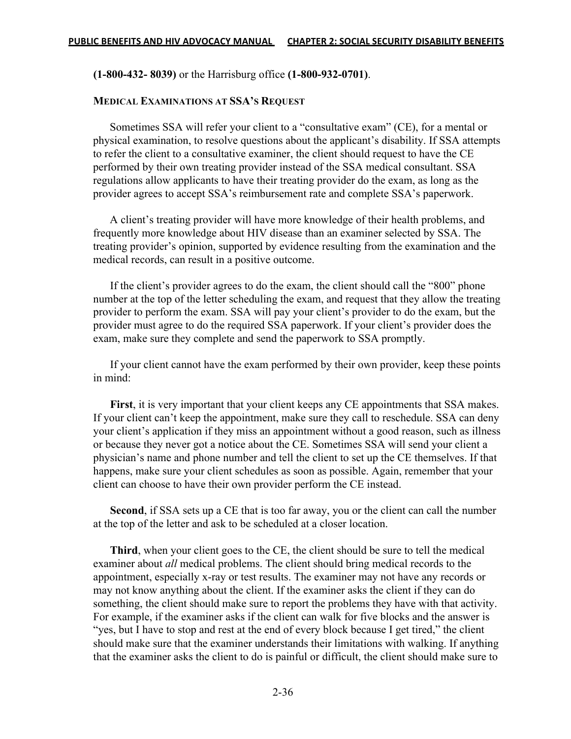### **(1-800-432- 8039)** or the Harrisburg office **(1-800-932-0701)**.

#### **MEDICAL EXAMINATIONS AT SSA'S REQUEST**

Sometimes SSA will refer your client to a "consultative exam" (CE), for a mental or physical examination, to resolve questions about the applicant's disability. If SSA attempts to refer the client to a consultative examiner, the client should request to have the CE performed by their own treating provider instead of the SSA medical consultant. SSA regulations allow applicants to have their treating provider do the exam, as long as the provider agrees to accept SSA's reimbursement rate and complete SSA's paperwork.

A client's treating provider will have more knowledge of their health problems, and frequently more knowledge about HIV disease than an examiner selected by SSA. The treating provider's opinion, supported by evidence resulting from the examination and the medical records, can result in a positive outcome.

If the client's provider agrees to do the exam, the client should call the "800" phone number at the top of the letter scheduling the exam, and request that they allow the treating provider to perform the exam. SSA will pay your client's provider to do the exam, but the provider must agree to do the required SSA paperwork. If your client's provider does the exam, make sure they complete and send the paperwork to SSA promptly.

If your client cannot have the exam performed by their own provider, keep these points in mind:

**First**, it is very important that your client keeps any CE appointments that SSA makes. If your client can't keep the appointment, make sure they call to reschedule. SSA can deny your client's application if they miss an appointment without a good reason, such as illness or because they never got a notice about the CE. Sometimes SSA will send your client a physician's name and phone number and tell the client to set up the CE themselves. If that happens, make sure your client schedules as soon as possible. Again, remember that your client can choose to have their own provider perform the CE instead.

**Second**, if SSA sets up a CE that is too far away, you or the client can call the number at the top of the letter and ask to be scheduled at a closer location.

**Third**, when your client goes to the CE, the client should be sure to tell the medical examiner about *all* medical problems. The client should bring medical records to the appointment, especially x-ray or test results. The examiner may not have any records or may not know anything about the client. If the examiner asks the client if they can do something, the client should make sure to report the problems they have with that activity. For example, if the examiner asks if the client can walk for five blocks and the answer is "yes, but I have to stop and rest at the end of every block because I get tired," the client should make sure that the examiner understands their limitations with walking. If anything that the examiner asks the client to do is painful or difficult, the client should make sure to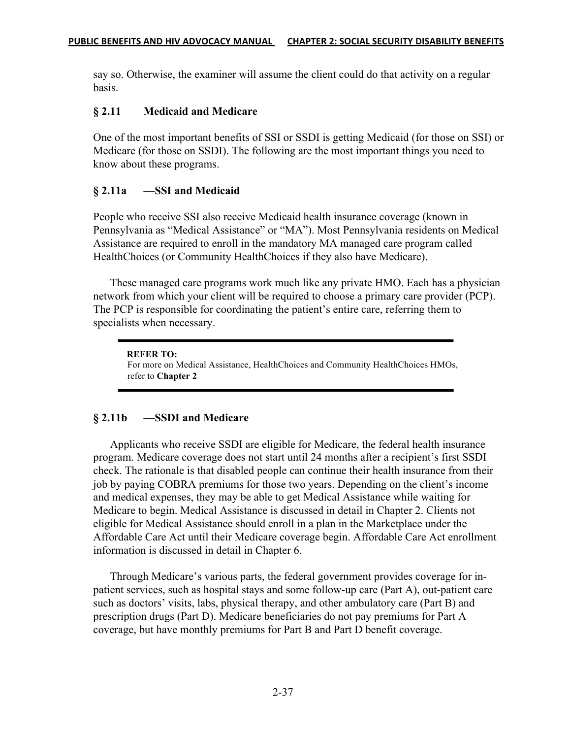say so. Otherwise, the examiner will assume the client could do that activity on a regular basis.

## **§ 2.11 Medicaid and Medicare**

One of the most important benefits of SSI or SSDI is getting Medicaid (for those on SSI) or Medicare (for those on SSDI). The following are the most important things you need to know about these programs.

## **§ 2.11a —SSI and Medicaid**

People who receive SSI also receive Medicaid health insurance coverage (known in Pennsylvania as "Medical Assistance" or "MA"). Most Pennsylvania residents on Medical Assistance are required to enroll in the mandatory MA managed care program called HealthChoices (or Community HealthChoices if they also have Medicare).

These managed care programs work much like any private HMO. Each has a physician network from which your client will be required to choose a primary care provider (PCP). The PCP is responsible for coordinating the patient's entire care, referring them to specialists when necessary.

#### **REFER TO:**

For more on Medical Assistance, HealthChoices and Community HealthChoices HMOs, refer to **Chapter 2**

## **§ 2.11b —SSDI and Medicare**

Applicants who receive SSDI are eligible for Medicare, the federal health insurance program. Medicare coverage does not start until 24 months after a recipient's first SSDI check. The rationale is that disabled people can continue their health insurance from their job by paying COBRA premiums for those two years. Depending on the client's income and medical expenses, they may be able to get Medical Assistance while waiting for Medicare to begin. Medical Assistance is discussed in detail in Chapter 2. Clients not eligible for Medical Assistance should enroll in a plan in the Marketplace under the Affordable Care Act until their Medicare coverage begin. Affordable Care Act enrollment information is discussed in detail in Chapter 6.

Through Medicare's various parts, the federal government provides coverage for inpatient services, such as hospital stays and some follow-up care (Part A), out-patient care such as doctors' visits, labs, physical therapy, and other ambulatory care (Part B) and prescription drugs (Part D). Medicare beneficiaries do not pay premiums for Part A coverage, but have monthly premiums for Part B and Part D benefit coverage.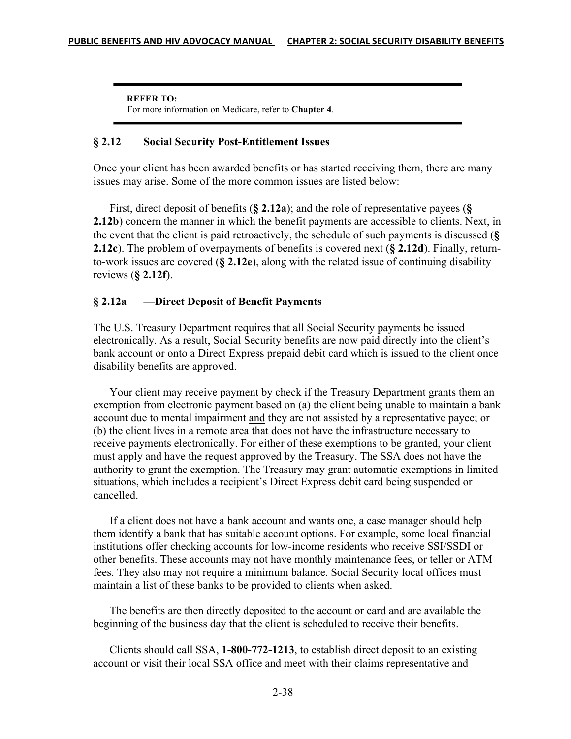**REFER TO:** For more information on Medicare, refer to **Chapter 4**.

#### **§ 2.12 Social Security Post-Entitlement Issues**

Once your client has been awarded benefits or has started receiving them, there are many issues may arise. Some of the more common issues are listed below:

 First, direct deposit of benefits (**§ 2.12a**); and the role of representative payees (**§ 2.12b**) concern the manner in which the benefit payments are accessible to clients. Next, in the event that the client is paid retroactively, the schedule of such payments is discussed (**§ 2.12c**). The problem of overpayments of benefits is covered next (**§ 2.12d**). Finally, returnto-work issues are covered (**§ 2.12e**), along with the related issue of continuing disability reviews (**§ 2.12f**).

### **§ 2.12a —Direct Deposit of Benefit Payments**

The U.S. Treasury Department requires that all Social Security payments be issued electronically. As a result, Social Security benefits are now paid directly into the client's bank account or onto a Direct Express prepaid debit card which is issued to the client once disability benefits are approved.

 Your client may receive payment by check if the Treasury Department grants them an exemption from electronic payment based on (a) the client being unable to maintain a bank account due to mental impairment and they are not assisted by a representative payee; or (b) the client lives in a remote area that does not have the infrastructure necessary to receive payments electronically. For either of these exemptions to be granted, your client must apply and have the request approved by the Treasury. The SSA does not have the authority to grant the exemption. The Treasury may grant automatic exemptions in limited situations, which includes a recipient's Direct Express debit card being suspended or cancelled.

 If a client does not have a bank account and wants one, a case manager should help them identify a bank that has suitable account options. For example, some local financial institutions offer checking accounts for low-income residents who receive SSI/SSDI or other benefits. These accounts may not have monthly maintenance fees, or teller or ATM fees. They also may not require a minimum balance. Social Security local offices must maintain a list of these banks to be provided to clients when asked.

 The benefits are then directly deposited to the account or card and are available the beginning of the business day that the client is scheduled to receive their benefits.

 Clients should call SSA, **1-800-772-1213**, to establish direct deposit to an existing account or visit their local SSA office and meet with their claims representative and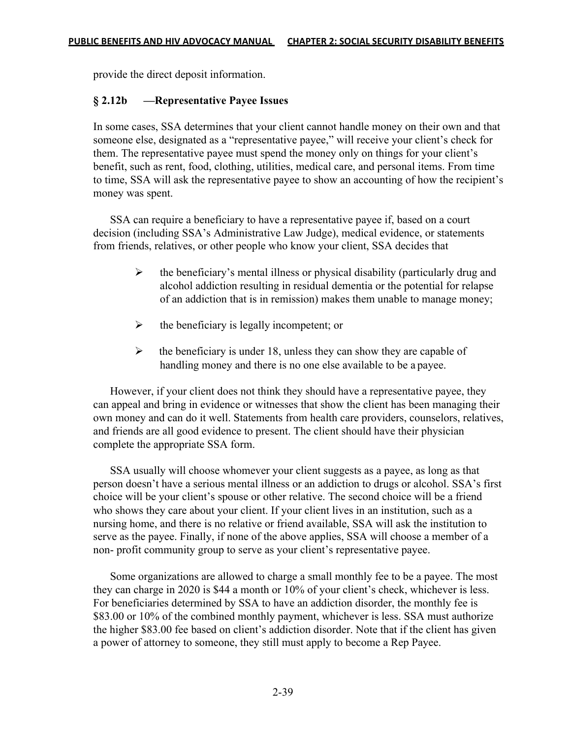provide the direct deposit information.

### **§ 2.12b —Representative Payee Issues**

In some cases, SSA determines that your client cannot handle money on their own and that someone else, designated as a "representative payee," will receive your client's check for them. The representative payee must spend the money only on things for your client's benefit, such as rent, food, clothing, utilities, medical care, and personal items. From time to time, SSA will ask the representative payee to show an accounting of how the recipient's money was spent.

SSA can require a beneficiary to have a representative payee if, based on a court decision (including SSA's Administrative Law Judge), medical evidence, or statements from friends, relatives, or other people who know your client, SSA decides that

- $\triangleright$  the beneficiary's mental illness or physical disability (particularly drug and alcohol addiction resulting in residual dementia or the potential for relapse of an addiction that is in remission) makes them unable to manage money;
- $\triangleright$  the beneficiary is legally incompetent; or
- $\triangleright$  the beneficiary is under 18, unless they can show they are capable of handling money and there is no one else available to be a payee.

However, if your client does not think they should have a representative payee, they can appeal and bring in evidence or witnesses that show the client has been managing their own money and can do it well. Statements from health care providers, counselors, relatives, and friends are all good evidence to present. The client should have their physician complete the appropriate SSA form.

SSA usually will choose whomever your client suggests as a payee, as long as that person doesn't have a serious mental illness or an addiction to drugs or alcohol. SSA's first choice will be your client's spouse or other relative. The second choice will be a friend who shows they care about your client. If your client lives in an institution, such as a nursing home, and there is no relative or friend available, SSA will ask the institution to serve as the payee. Finally, if none of the above applies, SSA will choose a member of a non- profit community group to serve as your client's representative payee.

Some organizations are allowed to charge a small monthly fee to be a payee. The most they can charge in 2020 is \$44 a month or 10% of your client's check, whichever is less. For beneficiaries determined by SSA to have an addiction disorder, the monthly fee is \$83.00 or 10% of the combined monthly payment, whichever is less. SSA must authorize the higher \$83.00 fee based on client's addiction disorder. Note that if the client has given a power of attorney to someone, they still must apply to become a Rep Payee.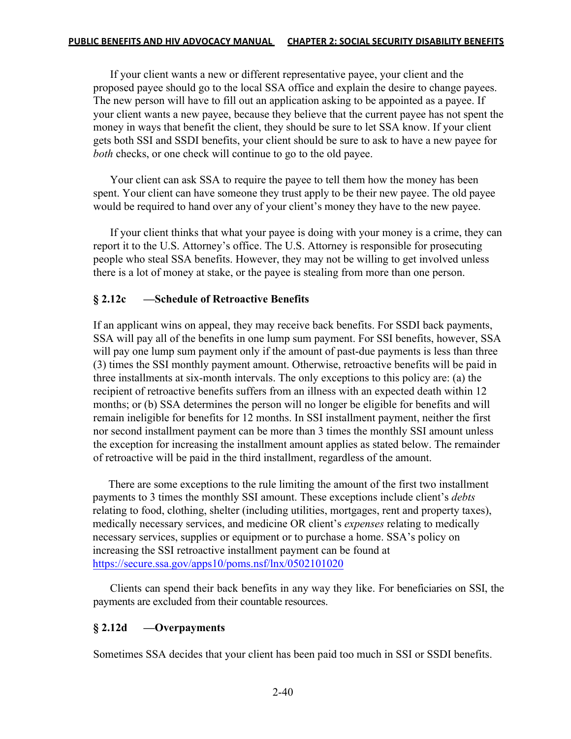If your client wants a new or different representative payee, your client and the proposed payee should go to the local SSA office and explain the desire to change payees. The new person will have to fill out an application asking to be appointed as a payee. If your client wants a new payee, because they believe that the current payee has not spent the money in ways that benefit the client, they should be sure to let SSA know. If your client gets both SSI and SSDI benefits, your client should be sure to ask to have a new payee for *both* checks, or one check will continue to go to the old payee.

Your client can ask SSA to require the payee to tell them how the money has been spent. Your client can have someone they trust apply to be their new payee. The old payee would be required to hand over any of your client's money they have to the new payee.

If your client thinks that what your payee is doing with your money is a crime, they can report it to the U.S. Attorney's office. The U.S. Attorney is responsible for prosecuting people who steal SSA benefits. However, they may not be willing to get involved unless there is a lot of money at stake, or the payee is stealing from more than one person.

## **§ 2.12c —Schedule of Retroactive Benefits**

If an applicant wins on appeal, they may receive back benefits. For SSDI back payments, SSA will pay all of the benefits in one lump sum payment. For SSI benefits, however, SSA will pay one lump sum payment only if the amount of past-due payments is less than three (3) times the SSI monthly payment amount. Otherwise, retroactive benefits will be paid in three installments at six-month intervals. The only exceptions to this policy are: (a) the recipient of retroactive benefits suffers from an illness with an expected death within 12 months; or (b) SSA determines the person will no longer be eligible for benefits and will remain ineligible for benefits for 12 months. In SSI installment payment, neither the first nor second installment payment can be more than 3 times the monthly SSI amount unless the exception for increasing the installment amount applies as stated below. The remainder of retroactive will be paid in the third installment, regardless of the amount.

There are some exceptions to the rule limiting the amount of the first two installment payments to 3 times the monthly SSI amount. These exceptions include client's *debts* relating to food, clothing, shelter (including utilities, mortgages, rent and property taxes), medically necessary services, and medicine OR client's *expenses* relating to medically necessary services, supplies or equipment or to purchase a home. SSA's policy on increasing the SSI retroactive installment payment can be found at https://secure.ssa.gov/apps10/poms.nsf/lnx/0502101020

Clients can spend their back benefits in any way they like. For beneficiaries on SSI, the payments are excluded from their countable resources.

## **§ 2.12d —Overpayments**

Sometimes SSA decides that your client has been paid too much in SSI or SSDI benefits.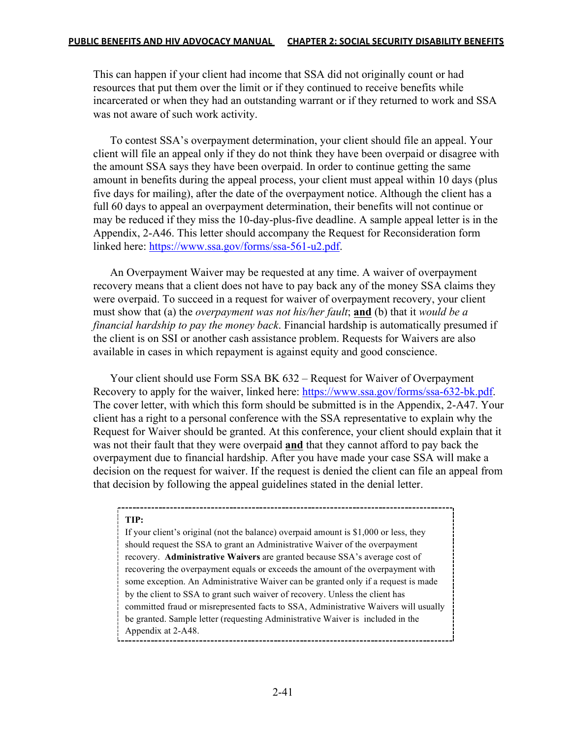This can happen if your client had income that SSA did not originally count or had resources that put them over the limit or if they continued to receive benefits while incarcerated or when they had an outstanding warrant or if they returned to work and SSA was not aware of such work activity.

To contest SSA's overpayment determination, your client should file an appeal. Your client will file an appeal only if they do not think they have been overpaid or disagree with the amount SSA says they have been overpaid. In order to continue getting the same amount in benefits during the appeal process, your client must appeal within 10 days (plus five days for mailing), after the date of the overpayment notice. Although the client has a full 60 days to appeal an overpayment determination, their benefits will not continue or may be reduced if they miss the 10-day-plus-five deadline. A sample appeal letter is in the Appendix, 2-A46. This letter should accompany the Request for Reconsideration form linked here: https://www.ssa.gov/forms/ssa-561-u2.pdf.

An Overpayment Waiver may be requested at any time. A waiver of overpayment recovery means that a client does not have to pay back any of the money SSA claims they were overpaid. To succeed in a request for waiver of overpayment recovery, your client must show that (a) the *overpayment was not his/her fault*; **and** (b) that it *would be a financial hardship to pay the money back*. Financial hardship is automatically presumed if the client is on SSI or another cash assistance problem. Requests for Waivers are also available in cases in which repayment is against equity and good conscience.

 Your client should use Form SSA BK 632 – Request for Waiver of Overpayment Recovery to apply for the waiver, linked here: https://www.ssa.gov/forms/ssa-632-bk.pdf. The cover letter, with which this form should be submitted is in the Appendix, 2-A47. Your client has a right to a personal conference with the SSA representative to explain why the Request for Waiver should be granted. At this conference, your client should explain that it was not their fault that they were overpaid **and** that they cannot afford to pay back the overpayment due to financial hardship. After you have made your case SSA will make a decision on the request for waiver. If the request is denied the client can file an appeal from that decision by following the appeal guidelines stated in the denial letter.

#### **TIP:**

If your client's original (not the balance) overpaid amount is \$1,000 or less, they should request the SSA to grant an Administrative Waiver of the overpayment recovery. **Administrative Waivers** are granted because SSA's average cost of recovering the overpayment equals or exceeds the amount of the overpayment with some exception. An Administrative Waiver can be granted only if a request is made by the client to SSA to grant such waiver of recovery. Unless the client has committed fraud or misrepresented facts to SSA, Administrative Waivers will usually be granted. Sample letter (requesting Administrative Waiver is included in the Appendix at 2-A48.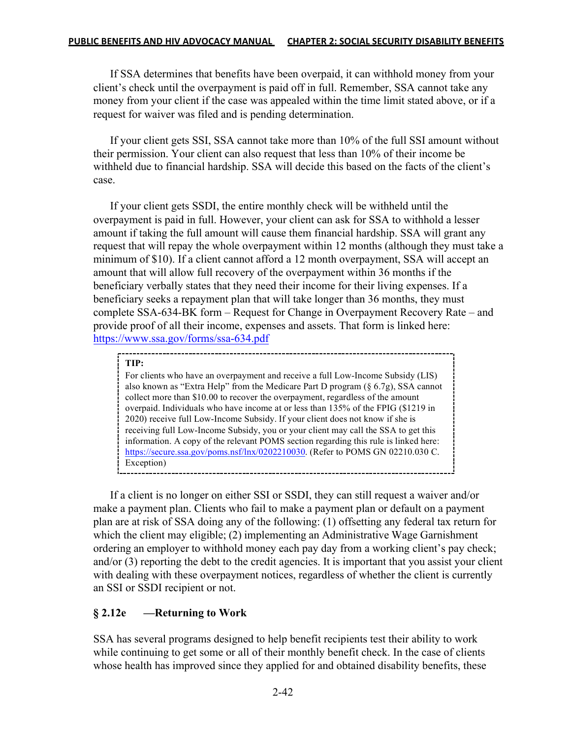If SSA determines that benefits have been overpaid, it can withhold money from your client's check until the overpayment is paid off in full. Remember, SSA cannot take any money from your client if the case was appealed within the time limit stated above, or if a request for waiver was filed and is pending determination.

If your client gets SSI, SSA cannot take more than 10% of the full SSI amount without their permission. Your client can also request that less than 10% of their income be withheld due to financial hardship. SSA will decide this based on the facts of the client's case.

If your client gets SSDI, the entire monthly check will be withheld until the overpayment is paid in full. However, your client can ask for SSA to withhold a lesser amount if taking the full amount will cause them financial hardship. SSA will grant any request that will repay the whole overpayment within 12 months (although they must take a minimum of \$10). If a client cannot afford a 12 month overpayment, SSA will accept an amount that will allow full recovery of the overpayment within 36 months if the beneficiary verbally states that they need their income for their living expenses. If a beneficiary seeks a repayment plan that will take longer than 36 months, they must complete SSA-634-BK form – Request for Change in Overpayment Recovery Rate – and provide proof of all their income, expenses and assets. That form is linked here: https://www.ssa.gov/forms/ssa-634.pdf

#### **TIP:**

For clients who have an overpayment and receive a full Low-Income Subsidy (LIS) also known as "Extra Help" from the Medicare Part D program (§ 6.7g), SSA cannot collect more than \$10.00 to recover the overpayment, regardless of the amount overpaid. Individuals who have income at or less than 135% of the FPIG (\$1219 in 2020) receive full Low-Income Subsidy. If your client does not know if she is receiving full Low-Income Subsidy, you or your client may call the SSA to get this information. A copy of the relevant POMS section regarding this rule is linked here: https://secure.ssa.gov/poms.nsf/lnx/0202210030. (Refer to POMS GN 02210.030 C. Exception)

If a client is no longer on either SSI or SSDI, they can still request a waiver and/or make a payment plan. Clients who fail to make a payment plan or default on a payment plan are at risk of SSA doing any of the following: (1) offsetting any federal tax return for which the client may eligible; (2) implementing an Administrative Wage Garnishment ordering an employer to withhold money each pay day from a working client's pay check; and/or (3) reporting the debt to the credit agencies. It is important that you assist your client with dealing with these overpayment notices, regardless of whether the client is currently an SSI or SSDI recipient or not.

## **§ 2.12e —Returning to Work**

SSA has several programs designed to help benefit recipients test their ability to work while continuing to get some or all of their monthly benefit check. In the case of clients whose health has improved since they applied for and obtained disability benefits, these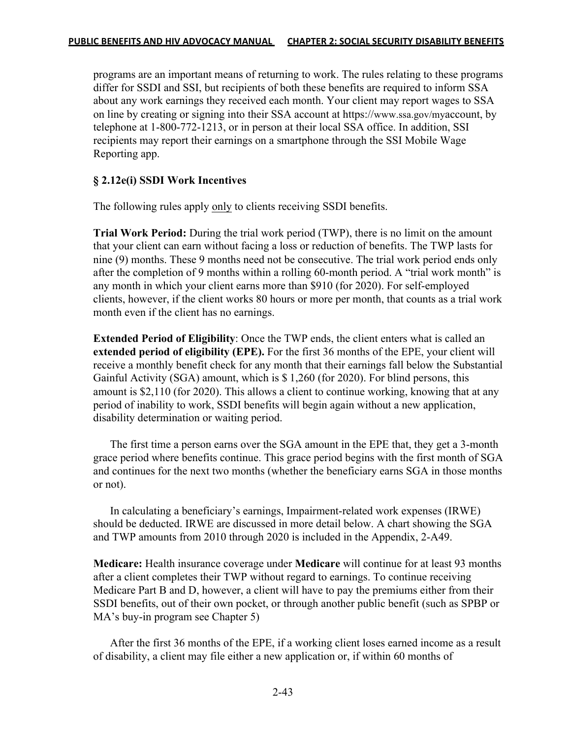programs are an important means of returning to work. The rules relating to these programs differ for SSDI and SSI, but recipients of both these benefits are required to inform SSA about any work earnings they received each month. Your client may report wages to SSA on line by creating or signing into their SSA account at https://www.ssa.gov/myaccount, by telephone at 1-800-772-1213, or in person at their local SSA office. In addition, SSI recipients may report their earnings on a smartphone through the SSI Mobile Wage Reporting app.

## **§ 2.12e(i) SSDI Work Incentives**

The following rules apply only to clients receiving SSDI benefits.

**Trial Work Period:** During the trial work period (TWP), there is no limit on the amount that your client can earn without facing a loss or reduction of benefits. The TWP lasts for nine (9) months. These 9 months need not be consecutive. The trial work period ends only after the completion of 9 months within a rolling 60-month period. A "trial work month" is any month in which your client earns more than \$910 (for 2020). For self-employed clients, however, if the client works 80 hours or more per month, that counts as a trial work month even if the client has no earnings.

**Extended Period of Eligibility**: Once the TWP ends, the client enters what is called an **extended period of eligibility (EPE).** For the first 36 months of the EPE, your client will receive a monthly benefit check for any month that their earnings fall below the Substantial Gainful Activity (SGA) amount, which is \$ 1,260 (for 2020). For blind persons, this amount is \$2,110 (for 2020). This allows a client to continue working, knowing that at any period of inability to work, SSDI benefits will begin again without a new application, disability determination or waiting period.

The first time a person earns over the SGA amount in the EPE that, they get a 3-month grace period where benefits continue. This grace period begins with the first month of SGA and continues for the next two months (whether the beneficiary earns SGA in those months or not).

In calculating a beneficiary's earnings, Impairment-related work expenses (IRWE) should be deducted. IRWE are discussed in more detail below. A chart showing the SGA and TWP amounts from 2010 through 2020 is included in the Appendix, 2-A49.

**Medicare:** Health insurance coverage under **Medicare** will continue for at least 93 months after a client completes their TWP without regard to earnings. To continue receiving Medicare Part B and D, however, a client will have to pay the premiums either from their SSDI benefits, out of their own pocket, or through another public benefit (such as SPBP or MA's buy-in program see Chapter 5)

After the first 36 months of the EPE, if a working client loses earned income as a result of disability, a client may file either a new application or, if within 60 months of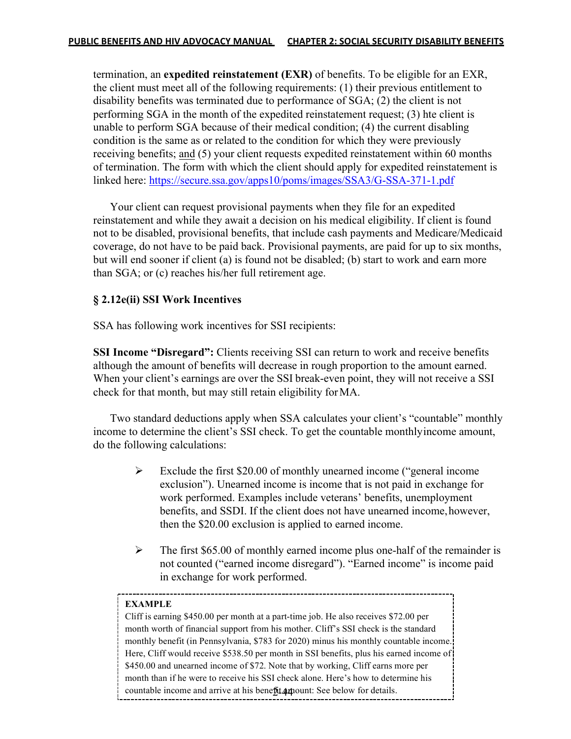termination, an **expedited reinstatement (EXR)** of benefits. To be eligible for an EXR, the client must meet all of the following requirements: (1) their previous entitlement to disability benefits was terminated due to performance of SGA; (2) the client is not performing SGA in the month of the expedited reinstatement request; (3) hte client is unable to perform SGA because of their medical condition; (4) the current disabling condition is the same as or related to the condition for which they were previously receiving benefits; and (5) your client requests expedited reinstatement within 60 months of termination. The form with which the client should apply for expedited reinstatement is linked here: https://secure.ssa.gov/apps10/poms/images/SSA3/G-SSA-371-1.pdf

Your client can request provisional payments when they file for an expedited reinstatement and while they await a decision on his medical eligibility. If client is found not to be disabled, provisional benefits, that include cash payments and Medicare/Medicaid coverage, do not have to be paid back. Provisional payments, are paid for up to six months, but will end sooner if client (a) is found not be disabled; (b) start to work and earn more than SGA; or (c) reaches his/her full retirement age.

### **§ 2.12e(ii) SSI Work Incentives**

SSA has following work incentives for SSI recipients:

**SSI Income "Disregard":** Clients receiving SSI can return to work and receive benefits although the amount of benefits will decrease in rough proportion to the amount earned. When your client's earnings are over the SSI break-even point, they will not receive a SSI check for that month, but may still retain eligibility forMA.

Two standard deductions apply when SSA calculates your client's "countable" monthly income to determine the client's SSI check. To get the countable monthlyincome amount, do the following calculations:

- $\triangleright$  Exclude the first \$20.00 of monthly unearned income ("general income exclusion"). Unearned income is income that is not paid in exchange for work performed. Examples include veterans' benefits, unemployment benefits, and SSDI. If the client does not have unearned income,however, then the \$20.00 exclusion is applied to earned income.
- $\triangleright$  The first \$65.00 of monthly earned income plus one-half of the remainder is not counted ("earned income disregard"). "Earned income" is income paid in exchange for work performed.

#### **EXAMPLE**

countable income and arrive at his benefit amount: See below for details. Cliff is earning \$450.00 per month at a part-time job. He also receives \$72.00 per month worth of financial support from his mother. Cliff's SSI check is the standard monthly benefit (in Pennsylvania, \$783 for 2020) minus his monthly countable income. Here, Cliff would receive \$538.50 per month in SSI benefits, plus his earned income of \$450.00 and unearned income of \$72. Note that by working, Cliff earns more per month than if he were to receive his SSI check alone. Here's how to determine his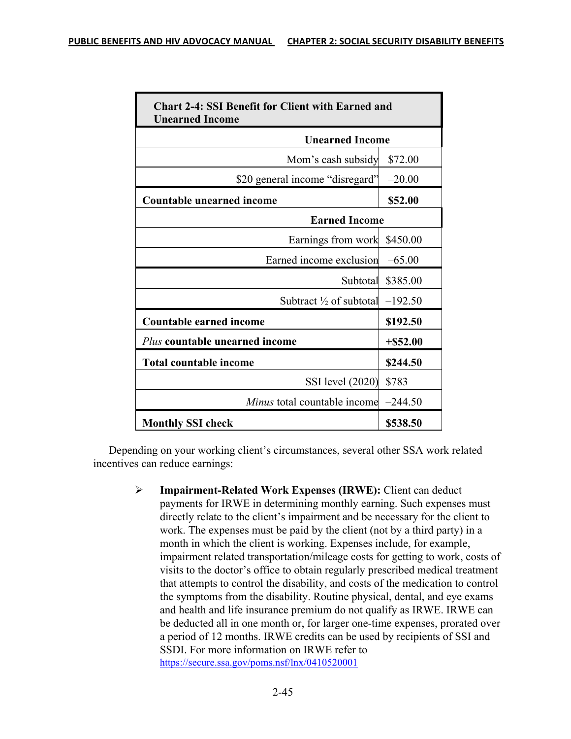| <b>Chart 2-4: SSI Benefit for Client with Earned and</b><br><b>Unearned Income</b> |             |  |
|------------------------------------------------------------------------------------|-------------|--|
| <b>Unearned Income</b>                                                             |             |  |
| Mom's cash subsidy                                                                 | \$72.00     |  |
| \$20 general income "disregard"                                                    | $-20.00$    |  |
| <b>Countable unearned income</b>                                                   | \$52.00     |  |
| <b>Earned Income</b>                                                               |             |  |
| Earnings from work                                                                 | \$450.00    |  |
| Earned income exclusion                                                            | $-65.00$    |  |
| Subtotal                                                                           | \$385.00    |  |
| Subtract $\frac{1}{2}$ of subtotal                                                 | $-192.50$   |  |
| <b>Countable earned income</b>                                                     | \$192.50    |  |
| Plus countable unearned income                                                     | $+$ \$52.00 |  |
| <b>Total countable income</b>                                                      | \$244.50    |  |
| SSI level (2020)                                                                   | \$783       |  |
| <i>Minus</i> total countable income                                                | $-244.50$   |  |
| <b>Monthly SSI check</b>                                                           | \$538.50    |  |

Depending on your working client's circumstances, several other SSA work related incentives can reduce earnings:

> Ø **Impairment-Related Work Expenses (IRWE):** Client can deduct payments for IRWE in determining monthly earning. Such expenses must directly relate to the client's impairment and be necessary for the client to work. The expenses must be paid by the client (not by a third party) in a month in which the client is working. Expenses include, for example, impairment related transportation/mileage costs for getting to work, costs of visits to the doctor's office to obtain regularly prescribed medical treatment that attempts to control the disability, and costs of the medication to control the symptoms from the disability. Routine physical, dental, and eye exams and health and life insurance premium do not qualify as IRWE. IRWE can be deducted all in one month or, for larger one-time expenses, prorated over a period of 12 months. IRWE credits can be used by recipients of SSI and SSDI. For more information on IRWE refer to https://secure.ssa.gov/poms.nsf/lnx/0410520001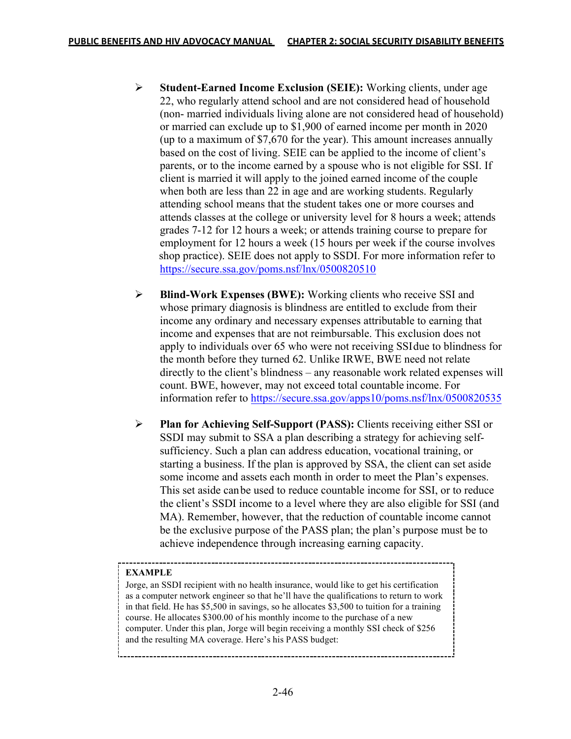- Ø **Student-Earned Income Exclusion (SEIE):** Working clients, under age 22, who regularly attend school and are not considered head of household (non- married individuals living alone are not considered head of household) or married can exclude up to \$1,900 of earned income per month in 2020 (up to a maximum of \$7,670 for the year). This amount increases annually based on the cost of living. SEIE can be applied to the income of client's parents, or to the income earned by a spouse who is not eligible for SSI. If client is married it will apply to the joined earned income of the couple when both are less than 22 in age and are working students. Regularly attending school means that the student takes one or more courses and attends classes at the college or university level for 8 hours a week; attends grades 7-12 for 12 hours a week; or attends training course to prepare for employment for 12 hours a week (15 hours per week if the course involves shop practice). SEIE does not apply to SSDI. For more information refer to https://secure.ssa.gov/poms.nsf/lnx/0500820510
- Ø **Blind-Work Expenses (BWE):** Working clients who receive SSI and whose primary diagnosis is blindness are entitled to exclude from their income any ordinary and necessary expenses attributable to earning that income and expenses that are not reimbursable. This exclusion does not apply to individuals over 65 who were not receiving SSIdue to blindness for the month before they turned 62. Unlike IRWE, BWE need not relate directly to the client's blindness – any reasonable work related expenses will count. BWE, however, may not exceed total countable income. For information refer to https://secure.ssa.gov/apps10/poms.nsf/lnx/0500820535
- Ø **Plan for Achieving Self-Support (PASS):** Clients receiving either SSI or SSDI may submit to SSA a plan describing a strategy for achieving self sufficiency. Such a plan can address education, vocational training, or starting a business. If the plan is approved by SSA, the client can set aside some income and assets each month in order to meet the Plan's expenses. This set aside canbe used to reduce countable income for SSI, or to reduce the client's SSDI income to a level where they are also eligible for SSI (and MA). Remember, however, that the reduction of countable income cannot be the exclusive purpose of the PASS plan; the plan's purpose must be to achieve independence through increasing earning capacity.

#### **EXAMPLE**

Jorge, an SSDI recipient with no health insurance, would like to get his certification as a computer network engineer so that he'll have the qualifications to return to work in that field. He has \$5,500 in savings, so he allocates \$3,500 to tuition for a training course. He allocates \$300.00 of his monthly income to the purchase of a new computer. Under this plan, Jorge will begin receiving a monthly SSI check of \$256 and the resulting MA coverage. Here's his PASS budget: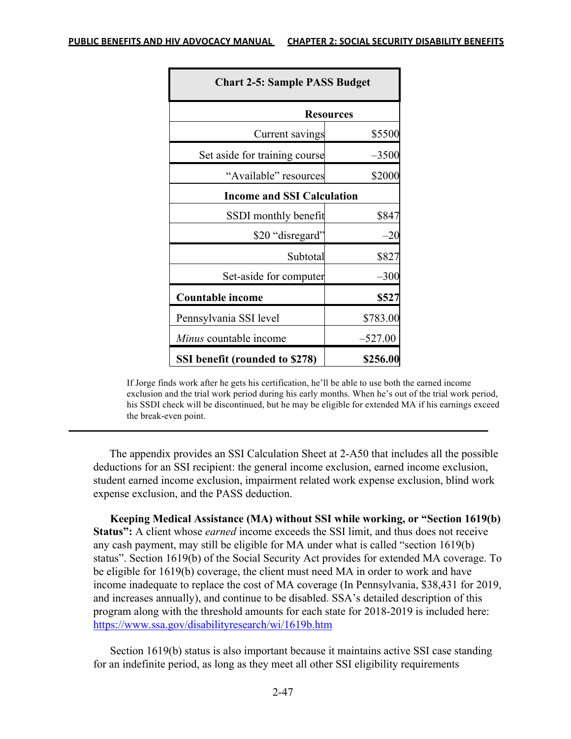| <b>Chart 2-5: Sample PASS Budget</b> |           |  |
|--------------------------------------|-----------|--|
| <b>Resources</b>                     |           |  |
| Current savings                      | \$5500    |  |
| Set aside for training course        | $-3500$   |  |
| "Available" resources                | \$2000    |  |
| <b>Income and SSI Calculation</b>    |           |  |
| SSDI monthly benefit                 | \$847     |  |
| \$20 "disregard"                     | $-20$     |  |
| Subtotal                             | \$827     |  |
| Set-aside for computer               | $-300$    |  |
| <b>Countable income</b>              | \$527     |  |
| Pennsylvania SSI level               | \$783.00  |  |
| <i>Minus</i> countable income        | $-527.00$ |  |
| SSI benefit (rounded to \$278)       | \$256.00  |  |

If Jorge finds work after he gets his certification, he'll be able to use both the earned income exclusion and the trial work period during his early months. When he's out of the trial work period, his SSDI check will be discontinued, but he may be eligible for extended MA if his earnings exceed the break-even point.

 The appendix provides an SSI Calculation Sheet at 2-A50 that includes all the possible deductions for an SSI recipient: the general income exclusion, earned income exclusion, student earned income exclusion, impairment related work expense exclusion, blind work expense exclusion, and the PASS deduction.

**Keeping Medical Assistance (MA) without SSI while working, or "Section 1619(b) Status":** A client whose *earned* income exceeds the SSI limit, and thus does not receive any cash payment, may still be eligible for MA under what is called "section 1619(b) status". Section 1619(b) of the Social Security Act provides for extended MA coverage. To be eligible for 1619(b) coverage, the client must need MA in order to work and have income inadequate to replace the cost of MA coverage (In Pennsylvania, \$38,431 for 2019, and increases annually), and continue to be disabled. SSA's detailed description of this program along with the threshold amounts for each state for 2018-2019 is included here: https://www.ssa.gov/disabilityresearch/wi/1619b.htm

Section 1619(b) status is also important because it maintains active SSI case standing for an indefinite period, as long as they meet all other SSI eligibility requirements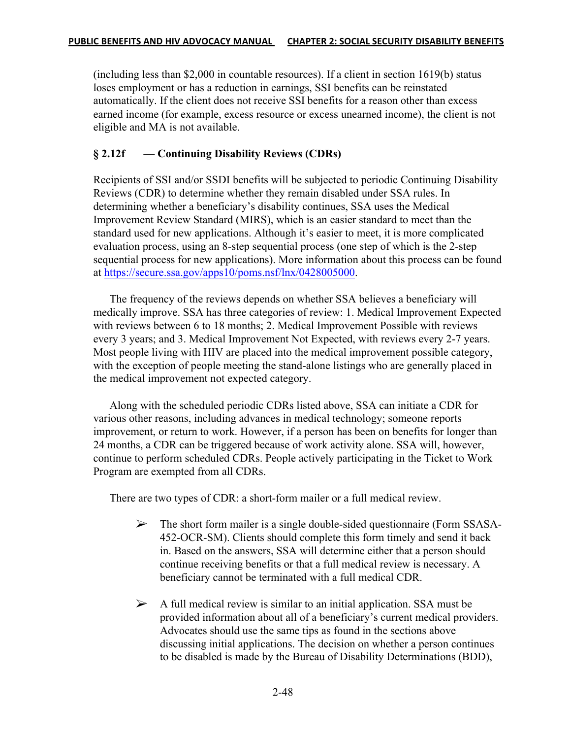(including less than \$2,000 in countable resources). If a client in section 1619(b) status loses employment or has a reduction in earnings, SSI benefits can be reinstated automatically. If the client does not receive SSI benefits for a reason other than excess earned income (for example, excess resource or excess unearned income), the client is not eligible and MA is not available.

## **§ 2.12f — Continuing Disability Reviews (CDRs)**

Recipients of SSI and/or SSDI benefits will be subjected to periodic Continuing Disability Reviews (CDR) to determine whether they remain disabled under SSA rules. In determining whether a beneficiary's disability continues, SSA uses the Medical Improvement Review Standard (MIRS), which is an easier standard to meet than the standard used for new applications. Although it's easier to meet, it is more complicated evaluation process, using an 8-step sequential process (one step of which is the 2-step sequential process for new applications). More information about this process can be found at https://secure.ssa.gov/apps10/poms.nsf/lnx/0428005000.

The frequency of the reviews depends on whether SSA believes a beneficiary will medically improve. SSA has three categories of review: 1. Medical Improvement Expected with reviews between 6 to 18 months; 2. Medical Improvement Possible with reviews every 3 years; and 3. Medical Improvement Not Expected, with reviews every 2-7 years. Most people living with HIV are placed into the medical improvement possible category, with the exception of people meeting the stand-alone listings who are generally placed in the medical improvement not expected category.

Along with the scheduled periodic CDRs listed above, SSA can initiate a CDR for various other reasons, including advances in medical technology; someone reports improvement, or return to work. However, if a person has been on benefits for longer than 24 months, a CDR can be triggered because of work activity alone. SSA will, however, continue to perform scheduled CDRs. People actively participating in the Ticket to Work Program are exempted from all CDRs.

There are two types of CDR: a short-form mailer or a full medical review.

- $\triangleright$  The short form mailer is a single double-sided questionnaire (Form SSASA- 452-OCR-SM). Clients should complete this form timely and send it back in. Based on the answers, SSA will determine either that a person should continue receiving benefits or that a full medical review is necessary. A beneficiary cannot be terminated with a full medical CDR.
- $\triangleright$  A full medical review is similar to an initial application. SSA must be provided information about all of a beneficiary's current medical providers. Advocates should use the same tips as found in the sections above discussing initial applications. The decision on whether a person continues to be disabled is made by the Bureau of Disability Determinations (BDD),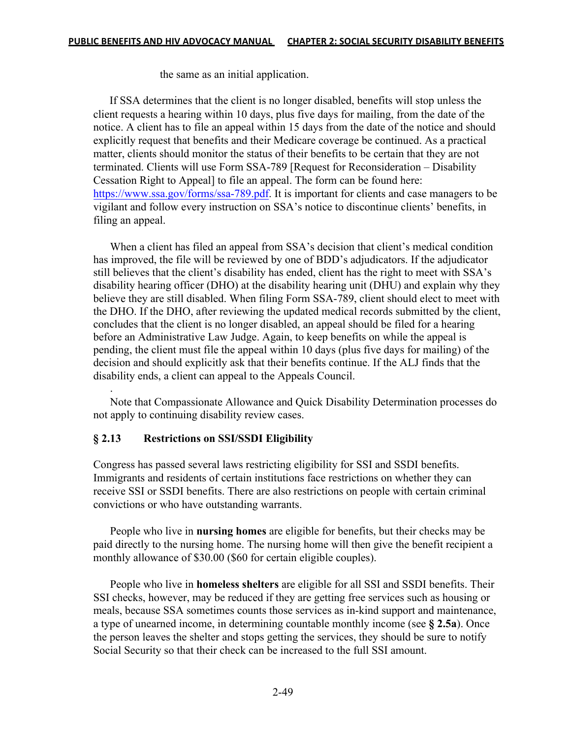the same as an initial application.

If SSA determines that the client is no longer disabled, benefits will stop unless the client requests a hearing within 10 days, plus five days for mailing, from the date of the notice. A client has to file an appeal within 15 days from the date of the notice and should explicitly request that benefits and their Medicare coverage be continued. As a practical matter, clients should monitor the status of their benefits to be certain that they are not terminated. Clients will use Form SSA-789 [Request for Reconsideration – Disability Cessation Right to Appeal] to file an appeal. The form can be found here: https://www.ssa.gov/forms/ssa-789.pdf. It is important for clients and case managers to be vigilant and follow every instruction on SSA's notice to discontinue clients' benefits, in filing an appeal.

When a client has filed an appeal from SSA's decision that client's medical condition has improved, the file will be reviewed by one of BDD's adjudicators. If the adjudicator still believes that the client's disability has ended, client has the right to meet with SSA's disability hearing officer (DHO) at the disability hearing unit (DHU) and explain why they believe they are still disabled. When filing Form SSA-789, client should elect to meet with the DHO. If the DHO, after reviewing the updated medical records submitted by the client, concludes that the client is no longer disabled, an appeal should be filed for a hearing before an Administrative Law Judge. Again, to keep benefits on while the appeal is pending, the client must file the appeal within 10 days (plus five days for mailing) of the decision and should explicitly ask that their benefits continue. If the ALJ finds that the disability ends, a client can appeal to the Appeals Council.

Note that Compassionate Allowance and Quick Disability Determination processes do not apply to continuing disability review cases.

## **§ 2.13 Restrictions on SSI/SSDI Eligibility**

.

Congress has passed several laws restricting eligibility for SSI and SSDI benefits. Immigrants and residents of certain institutions face restrictions on whether they can receive SSI or SSDI benefits. There are also restrictions on people with certain criminal convictions or who have outstanding warrants.

People who live in **nursing homes** are eligible for benefits, but their checks may be paid directly to the nursing home. The nursing home will then give the benefit recipient a monthly allowance of \$30.00 (\$60 for certain eligible couples).

People who live in **homeless shelters** are eligible for all SSI and SSDI benefits. Their SSI checks, however, may be reduced if they are getting free services such as housing or meals, because SSA sometimes counts those services as in-kind support and maintenance, a type of unearned income, in determining countable monthly income (see **§ 2.5a**). Once the person leaves the shelter and stops getting the services, they should be sure to notify Social Security so that their check can be increased to the full SSI amount.